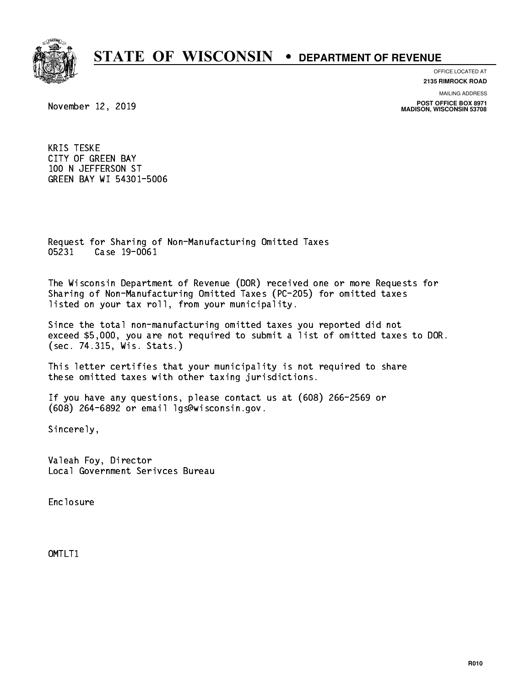

**OFFICE LOCATED AT**

**2135 RIMROCK ROAD**

**MAILING ADDRESS**

**POST OFFICE BOX 8971 MADISON, WISCONSIN 53708**

November 12, 2019

 KRIS TESKE CITY OF GREEN BAY 100 N JEFFERSON ST GREEN BAY WI 54301-5006

 Request for Sharing of Non-Manufacturing Omitted Taxes 05231 Case 19-0061 05231 Case 19-0061

 The Wisconsin Department of Revenue (DOR) received one or more Requests for Sharing of Non-Manufacturing Omitted Taxes (PC-205) for omitted taxes listed on your tax roll, from your municipality.

 Since the total non-manufacturing omitted taxes you reported did not exceed \$5,000, you are not required to submit a list of omitted taxes to DOR. (sec. 74.315, Wis. Stats.)

 This letter certifies that your municipality is not required to share these omitted taxes with other taxing jurisdictions.

 If you have any questions, please contact us at (608) 266-2569 or (608) 264-6892 or email lgs@wisconsin.gov.

Sincerely,

 Valeah Foy, Director Local Government Serivces Bureau

Enclosure Enclosure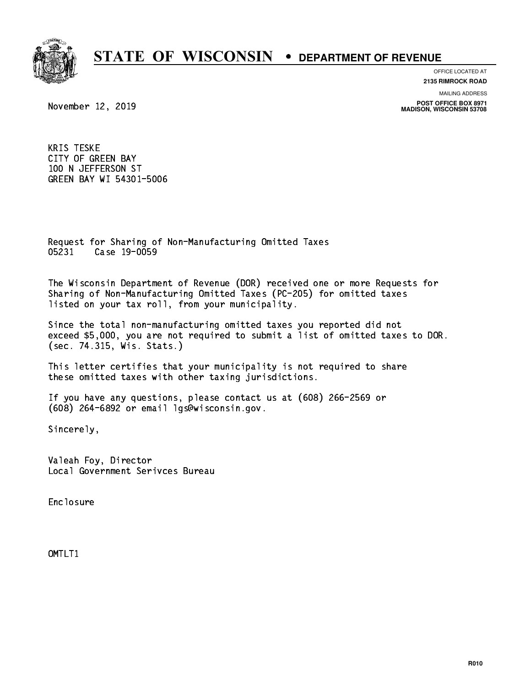

**OFFICE LOCATED AT**

**2135 RIMROCK ROAD**

**MAILING ADDRESS**

**POST OFFICE BOX 8971 MADISON, WISCONSIN 53708**

November 12, 2019

 KRIS TESKE CITY OF GREEN BAY 100 N JEFFERSON ST GREEN BAY WI 54301-5006

 Request for Sharing of Non-Manufacturing Omitted Taxes 05231 Case 19-0059

 The Wisconsin Department of Revenue (DOR) received one or more Requests for Sharing of Non-Manufacturing Omitted Taxes (PC-205) for omitted taxes listed on your tax roll, from your municipality.

 Since the total non-manufacturing omitted taxes you reported did not exceed \$5,000, you are not required to submit a list of omitted taxes to DOR. (sec. 74.315, Wis. Stats.)

 This letter certifies that your municipality is not required to share these omitted taxes with other taxing jurisdictions.

 If you have any questions, please contact us at (608) 266-2569 or (608) 264-6892 or email lgs@wisconsin.gov.

Sincerely,

 Valeah Foy, Director Local Government Serivces Bureau

Enclosure Enclosure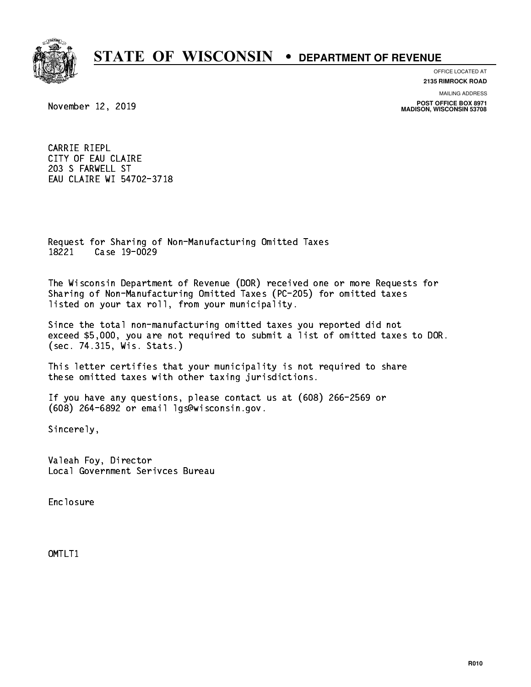

**OFFICE LOCATED AT**

**2135 RIMROCK ROAD**

November 12, 2019

**MAILING ADDRESS**

**POST OFFICE BOX 8971 MADISON, WISCONSIN 53708**

 CARRIE RIEPL CITY OF EAU CLAIRE 203 S FARWELL ST EAU CLAIRE WI 54702-3718

 Request for Sharing of Non-Manufacturing Omitted Taxes 18221 Case 19-0029 18221 Case 19-0029

 The Wisconsin Department of Revenue (DOR) received one or more Requests for Sharing of Non-Manufacturing Omitted Taxes (PC-205) for omitted taxes listed on your tax roll, from your municipality.

 Since the total non-manufacturing omitted taxes you reported did not exceed \$5,000, you are not required to submit a list of omitted taxes to DOR. (sec. 74.315, Wis. Stats.)

 This letter certifies that your municipality is not required to share these omitted taxes with other taxing jurisdictions.

 If you have any questions, please contact us at (608) 266-2569 or (608) 264-6892 or email lgs@wisconsin.gov.

Sincerely,

 Valeah Foy, Director Local Government Serivces Bureau

Enclosure Enclosure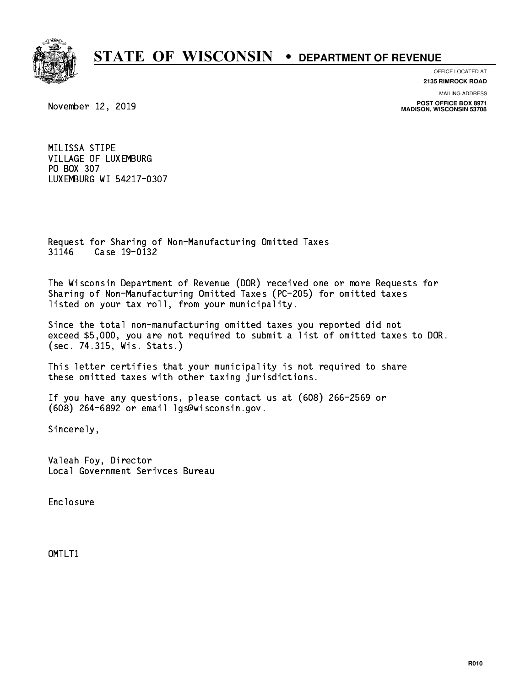

**OFFICE LOCATED AT 2135 RIMROCK ROAD**

**MAILING ADDRESS**

**POST OFFICE BOX 8971 MADISON, WISCONSIN 53708**

November 12, 2019

 MILISSA STIPE VILLAGE OF LUXEMBURG PO BOX 307 LUXEMBURG WI 54217-0307

 Request for Sharing of Non-Manufacturing Omitted Taxes 31146 Case 19-0132 3123 Case 22 Case

 The Wisconsin Department of Revenue (DOR) received one or more Requests for Sharing of Non-Manufacturing Omitted Taxes (PC-205) for omitted taxes listed on your tax roll, from your municipality.

 Since the total non-manufacturing omitted taxes you reported did not exceed \$5,000, you are not required to submit a list of omitted taxes to DOR. (sec. 74.315, Wis. Stats.)

 This letter certifies that your municipality is not required to share these omitted taxes with other taxing jurisdictions.

 If you have any questions, please contact us at (608) 266-2569 or (608) 264-6892 or email lgs@wisconsin.gov.

Sincerely,

 Valeah Foy, Director Local Government Serivces Bureau

Enclosure Enclosure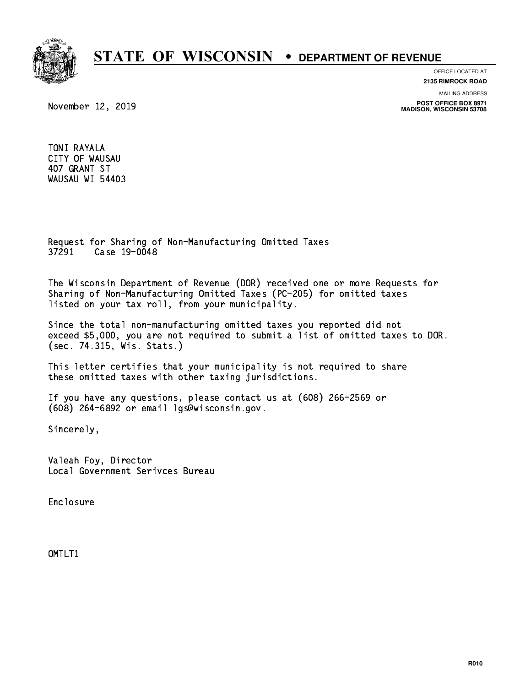

### **OFFICE LOCATED AT**

**2135 RIMROCK ROAD**

**MAILING ADDRESS**

**POST OFFICE BOX 8971 MADISON, WISCONSIN 53708**

November 12, 2019

 TONI RAYALA CITY OF WAUSAU 407 GRANT ST WAUSAU WI 54403

 Request for Sharing of Non-Manufacturing Omitted Taxes 37291 Case 19-0048 37291 Case 19-00-20

 The Wisconsin Department of Revenue (DOR) received one or more Requests for Sharing of Non-Manufacturing Omitted Taxes (PC-205) for omitted taxes listed on your tax roll, from your municipality.

 Since the total non-manufacturing omitted taxes you reported did not exceed \$5,000, you are not required to submit a list of omitted taxes to DOR. (sec. 74.315, Wis. Stats.)

 This letter certifies that your municipality is not required to share these omitted taxes with other taxing jurisdictions.

 If you have any questions, please contact us at (608) 266-2569 or (608) 264-6892 or email lgs@wisconsin.gov.

Sincerely,

 Valeah Foy, Director Local Government Serivces Bureau

Enclosure Enclosure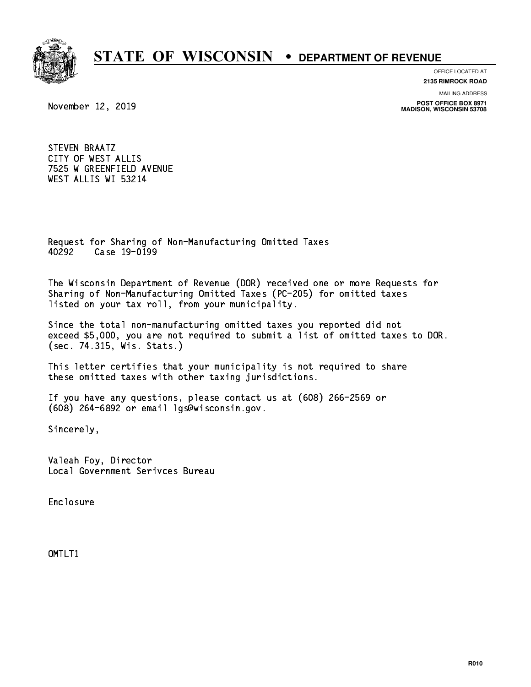

**OFFICE LOCATED AT**

**2135 RIMROCK ROAD**

November 12, 2019

**MAILING ADDRESS**

**POST OFFICE BOX 8971 MADISON, WISCONSIN 53708**

 STEVEN BRAATZ CITY OF WEST ALLIS 7525 W GREENFIELD AVENUE WEST ALLIS WI 53214

 Request for Sharing of Non-Manufacturing Omitted Taxes 40292 Case 19-0199 40292 Case 19-0199

 The Wisconsin Department of Revenue (DOR) received one or more Requests for Sharing of Non-Manufacturing Omitted Taxes (PC-205) for omitted taxes listed on your tax roll, from your municipality.

 Since the total non-manufacturing omitted taxes you reported did not exceed \$5,000, you are not required to submit a list of omitted taxes to DOR. (sec. 74.315, Wis. Stats.)

 This letter certifies that your municipality is not required to share these omitted taxes with other taxing jurisdictions.

 If you have any questions, please contact us at (608) 266-2569 or (608) 264-6892 or email lgs@wisconsin.gov.

Sincerely,

 Valeah Foy, Director Local Government Serivces Bureau

Enclosure Enclosure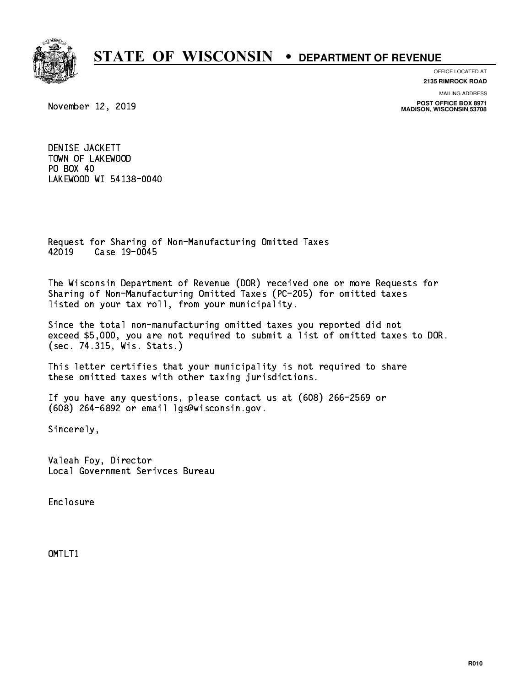

**OFFICE LOCATED AT**

**2135 RIMROCK ROAD**

November 12, 2019

**MAILING ADDRESS**

**POST OFFICE BOX 8971 MADISON, WISCONSIN 53708**

 DENISE JACKETT TOWN OF LAKEWOOD PO BOX 40  $\sim$   $\sim$   $\sim$   $\sim$   $\sim$   $\sim$   $\sim$ LAKEWOOD WI 54138-0040

 Request for Sharing of Non-Manufacturing Omitted Taxes 42019 Case 19-0045 42019 Case 19-00-2

 The Wisconsin Department of Revenue (DOR) received one or more Requests for Sharing of Non-Manufacturing Omitted Taxes (PC-205) for omitted taxes listed on your tax roll, from your municipality.

 Since the total non-manufacturing omitted taxes you reported did not exceed \$5,000, you are not required to submit a list of omitted taxes to DOR. (sec. 74.315, Wis. Stats.)

 This letter certifies that your municipality is not required to share these omitted taxes with other taxing jurisdictions.

 If you have any questions, please contact us at (608) 266-2569 or (608) 264-6892 or email lgs@wisconsin.gov.

Sincerely,

 Valeah Foy, Director Local Government Serivces Bureau

Enclosure Enclosure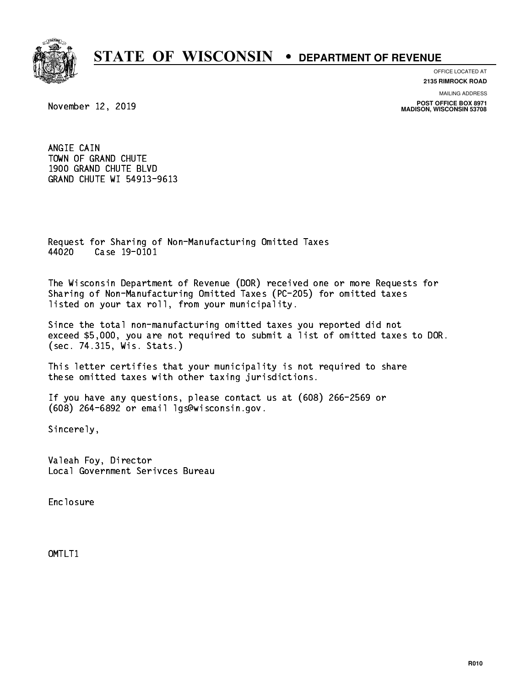

**OFFICE LOCATED AT 2135 RIMROCK ROAD**

**MAILING ADDRESS**

**POST OFFICE BOX 8971 MADISON, WISCONSIN 53708**

November 12, 2019

 ANGIE CAIN TOWN OF GRAND CHUTE 1900 GRAND CHUTE BLVD GRAND CHUTE WI 54913-9613

 Request for Sharing of Non-Manufacturing Omitted Taxes 44020 Case 19-0101

 The Wisconsin Department of Revenue (DOR) received one or more Requests for Sharing of Non-Manufacturing Omitted Taxes (PC-205) for omitted taxes listed on your tax roll, from your municipality.

 Since the total non-manufacturing omitted taxes you reported did not exceed \$5,000, you are not required to submit a list of omitted taxes to DOR. (sec. 74.315, Wis. Stats.)

 This letter certifies that your municipality is not required to share these omitted taxes with other taxing jurisdictions.

 If you have any questions, please contact us at (608) 266-2569 or (608) 264-6892 or email lgs@wisconsin.gov.

Sincerely,

 Valeah Foy, Director Local Government Serivces Bureau

Enclosure Enclosure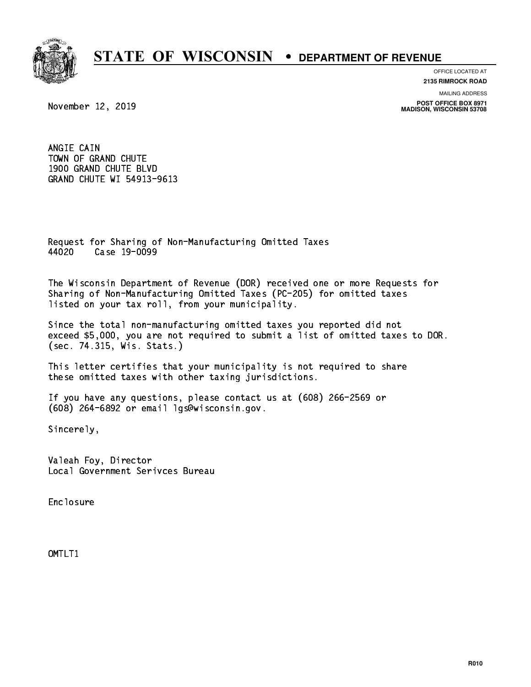

**OFFICE LOCATED AT**

**2135 RIMROCK ROAD**

November 12, 2019

**MAILING ADDRESS**

**POST OFFICE BOX 8971 MADISON, WISCONSIN 53708**

 ANGIE CAIN TOWN OF GRAND CHUTE 1900 GRAND CHUTE BLVD GRAND CHUTE WI 54913-9613

 Request for Sharing of Non-Manufacturing Omitted Taxes 44020 Case 19-0099

 The Wisconsin Department of Revenue (DOR) received one or more Requests for Sharing of Non-Manufacturing Omitted Taxes (PC-205) for omitted taxes listed on your tax roll, from your municipality.

 Since the total non-manufacturing omitted taxes you reported did not exceed \$5,000, you are not required to submit a list of omitted taxes to DOR. (sec. 74.315, Wis. Stats.)

 This letter certifies that your municipality is not required to share these omitted taxes with other taxing jurisdictions.

 If you have any questions, please contact us at (608) 266-2569 or (608) 264-6892 or email lgs@wisconsin.gov.

Sincerely,

 Valeah Foy, Director Local Government Serivces Bureau

Enclosure Enclosure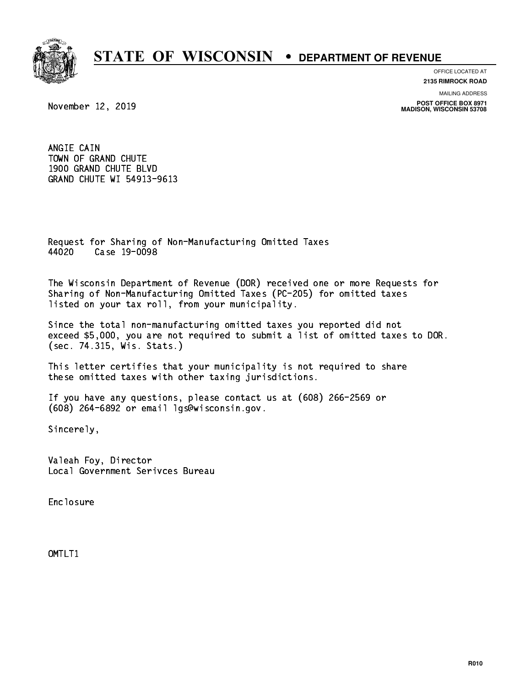

**OFFICE LOCATED AT**

**2135 RIMROCK ROAD**

November 12, 2019

**MAILING ADDRESS**

**POST OFFICE BOX 8971 MADISON, WISCONSIN 53708**

 ANGIE CAIN TOWN OF GRAND CHUTE 1900 GRAND CHUTE BLVD GRAND CHUTE WI 54913-9613

 Request for Sharing of Non-Manufacturing Omitted Taxes 44020 Case 19-0098 4402 Case 19-009

 The Wisconsin Department of Revenue (DOR) received one or more Requests for Sharing of Non-Manufacturing Omitted Taxes (PC-205) for omitted taxes listed on your tax roll, from your municipality.

 Since the total non-manufacturing omitted taxes you reported did not exceed \$5,000, you are not required to submit a list of omitted taxes to DOR. (sec. 74.315, Wis. Stats.)

 This letter certifies that your municipality is not required to share these omitted taxes with other taxing jurisdictions.

 If you have any questions, please contact us at (608) 266-2569 or (608) 264-6892 or email lgs@wisconsin.gov.

Sincerely,

 Valeah Foy, Director Local Government Serivces Bureau

Enclosure Enclosure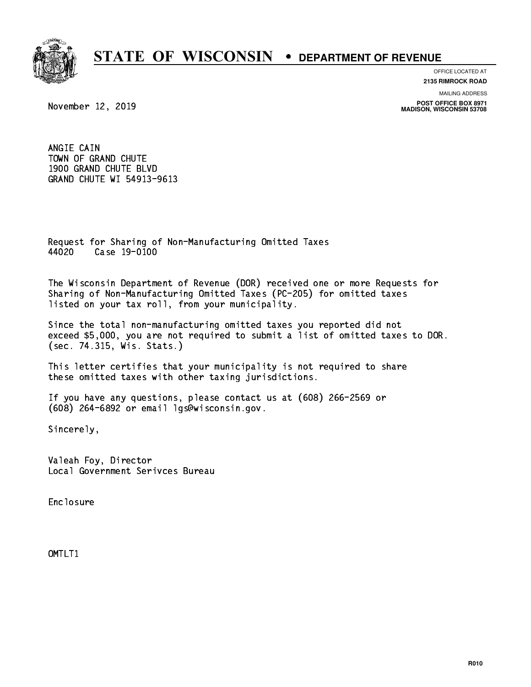

**OFFICE LOCATED AT**

**2135 RIMROCK ROAD**

November 12, 2019

**MAILING ADDRESS**

**POST OFFICE BOX 8971 MADISON, WISCONSIN 53708**

 ANGIE CAIN TOWN OF GRAND CHUTE 1900 GRAND CHUTE BLVD GRAND CHUTE WI 54913-9613

 Request for Sharing of Non-Manufacturing Omitted Taxes 44020 Case 19-0100

 The Wisconsin Department of Revenue (DOR) received one or more Requests for Sharing of Non-Manufacturing Omitted Taxes (PC-205) for omitted taxes listed on your tax roll, from your municipality.

 Since the total non-manufacturing omitted taxes you reported did not exceed \$5,000, you are not required to submit a list of omitted taxes to DOR. (sec. 74.315, Wis. Stats.)

 This letter certifies that your municipality is not required to share these omitted taxes with other taxing jurisdictions.

 If you have any questions, please contact us at (608) 266-2569 or (608) 264-6892 or email lgs@wisconsin.gov.

Sincerely,

 Valeah Foy, Director Local Government Serivces Bureau

Enclosure Enclosure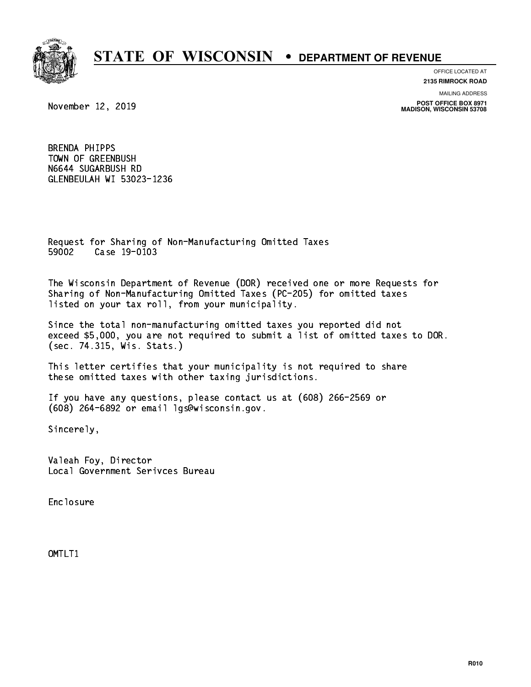

**OFFICE LOCATED AT 2135 RIMROCK ROAD**

November 12, 2019

**MAILING ADDRESS POST OFFICE BOX 8971 MADISON, WISCONSIN 53708**

 BRENDA PHIPPS TOWN OF GREENBUSH N6644 SUGARBUSH RD GLENBEULAH WI 53023-1236

 Request for Sharing of Non-Manufacturing Omitted Taxes 59002 Case 19-0103

 The Wisconsin Department of Revenue (DOR) received one or more Requests for Sharing of Non-Manufacturing Omitted Taxes (PC-205) for omitted taxes listed on your tax roll, from your municipality.

 Since the total non-manufacturing omitted taxes you reported did not exceed \$5,000, you are not required to submit a list of omitted taxes to DOR. (sec. 74.315, Wis. Stats.)

 This letter certifies that your municipality is not required to share these omitted taxes with other taxing jurisdictions.

 If you have any questions, please contact us at (608) 266-2569 or (608) 264-6892 or email lgs@wisconsin.gov.

Sincerely,

 Valeah Foy, Director Local Government Serivces Bureau

Enclosure Enclosure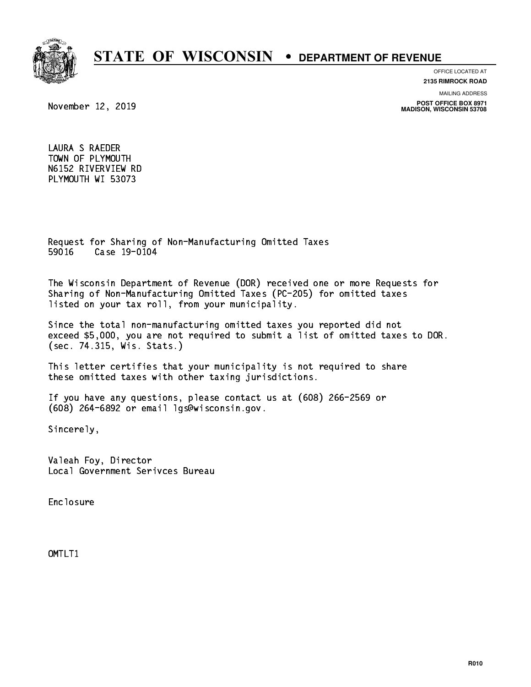

### **OFFICE LOCATED AT**

**2135 RIMROCK ROAD**

**MAILING ADDRESS**

**POST OFFICE BOX 8971 MADISON, WISCONSIN 53708**

November 12, 2019

 LAURA S RAEDER TOWN OF PLYMOUTH N6152 RIVERVIEW RD PLYMOUTH WI 53073

 Request for Sharing of Non-Manufacturing Omitted Taxes 59016 Case 19-0104

 The Wisconsin Department of Revenue (DOR) received one or more Requests for Sharing of Non-Manufacturing Omitted Taxes (PC-205) for omitted taxes listed on your tax roll, from your municipality.

 Since the total non-manufacturing omitted taxes you reported did not exceed \$5,000, you are not required to submit a list of omitted taxes to DOR. (sec. 74.315, Wis. Stats.)

 This letter certifies that your municipality is not required to share these omitted taxes with other taxing jurisdictions.

 If you have any questions, please contact us at (608) 266-2569 or (608) 264-6892 or email lgs@wisconsin.gov.

Sincerely,

 Valeah Foy, Director Local Government Serivces Bureau

Enclosure Enclosure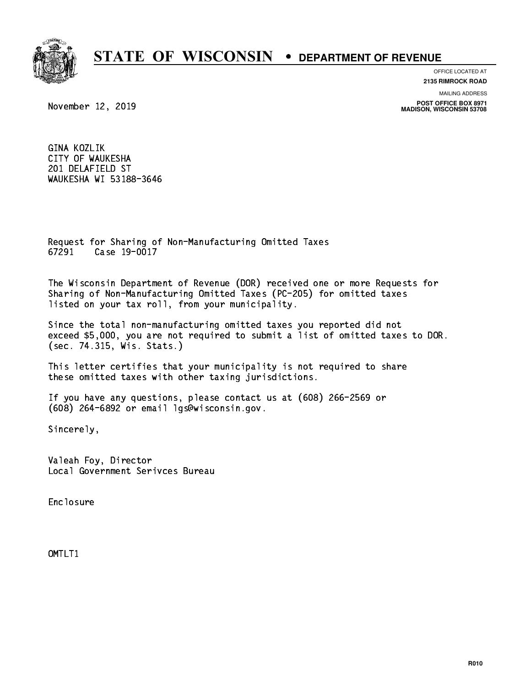

**OFFICE LOCATED AT**

**2135 RIMROCK ROAD**

**MAILING ADDRESS**

**POST OFFICE BOX 8971 MADISON, WISCONSIN 53708**

November 12, 2019

 GINA KOZLIK CITY OF WAUKESHA 201 DELAFIELD ST WAUKESHA WI 53188-3646

 Request for Sharing of Non-Manufacturing Omitted Taxes 67291 Case 19-0017 67291 Case 19-0017

 The Wisconsin Department of Revenue (DOR) received one or more Requests for Sharing of Non-Manufacturing Omitted Taxes (PC-205) for omitted taxes listed on your tax roll, from your municipality.

 Since the total non-manufacturing omitted taxes you reported did not exceed \$5,000, you are not required to submit a list of omitted taxes to DOR. (sec. 74.315, Wis. Stats.)

 This letter certifies that your municipality is not required to share these omitted taxes with other taxing jurisdictions.

 If you have any questions, please contact us at (608) 266-2569 or (608) 264-6892 or email lgs@wisconsin.gov.

Sincerely,

 Valeah Foy, Director Local Government Serivces Bureau

Enclosure Enclosure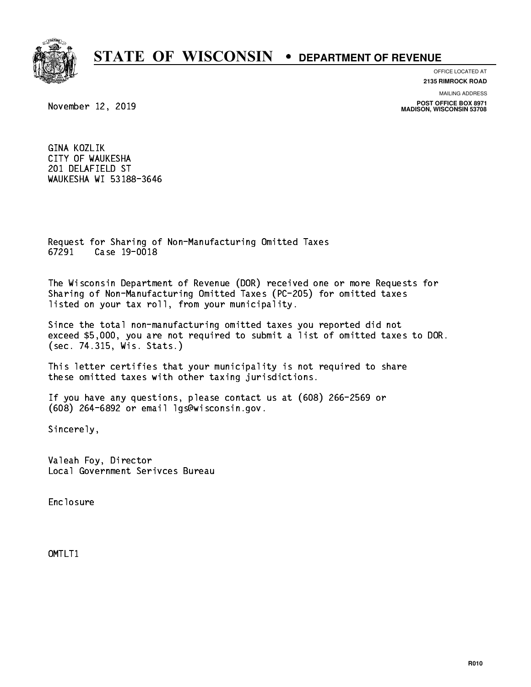

**OFFICE LOCATED AT**

**2135 RIMROCK ROAD**

**MAILING ADDRESS**

**POST OFFICE BOX 8971 MADISON, WISCONSIN 53708**

November 12, 2019

 GINA KOZLIK CITY OF WAUKESHA 201 DELAFIELD ST WAUKESHA WI 53188-3646

 Request for Sharing of Non-Manufacturing Omitted Taxes 67291 Case 19-0018

 The Wisconsin Department of Revenue (DOR) received one or more Requests for Sharing of Non-Manufacturing Omitted Taxes (PC-205) for omitted taxes listed on your tax roll, from your municipality.

 Since the total non-manufacturing omitted taxes you reported did not exceed \$5,000, you are not required to submit a list of omitted taxes to DOR. (sec. 74.315, Wis. Stats.)

 This letter certifies that your municipality is not required to share these omitted taxes with other taxing jurisdictions.

 If you have any questions, please contact us at (608) 266-2569 or (608) 264-6892 or email lgs@wisconsin.gov.

Sincerely,

 Valeah Foy, Director Local Government Serivces Bureau

Enclosure Enclosure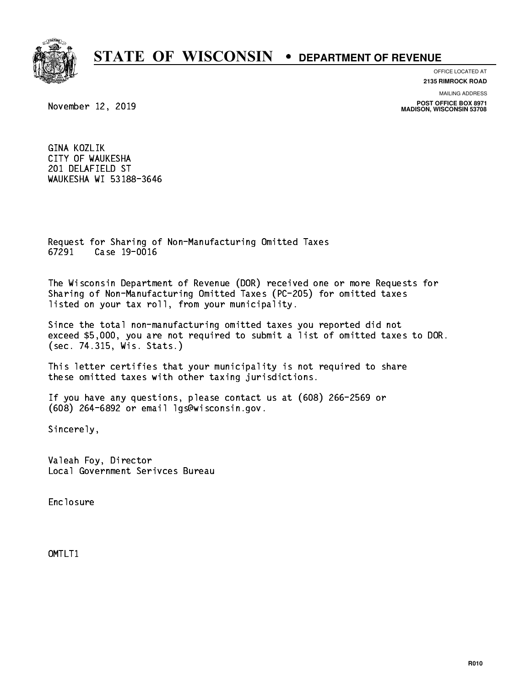

**OFFICE LOCATED AT**

**2135 RIMROCK ROAD**

**MAILING ADDRESS**

**POST OFFICE BOX 8971 MADISON, WISCONSIN 53708**

November 12, 2019

 GINA KOZLIK CITY OF WAUKESHA 201 DELAFIELD ST WAUKESHA WI 53188-3646

 Request for Sharing of Non-Manufacturing Omitted Taxes 67291 Case 19-0016

 The Wisconsin Department of Revenue (DOR) received one or more Requests for Sharing of Non-Manufacturing Omitted Taxes (PC-205) for omitted taxes listed on your tax roll, from your municipality.

 Since the total non-manufacturing omitted taxes you reported did not exceed \$5,000, you are not required to submit a list of omitted taxes to DOR. (sec. 74.315, Wis. Stats.)

 This letter certifies that your municipality is not required to share these omitted taxes with other taxing jurisdictions.

 If you have any questions, please contact us at (608) 266-2569 or (608) 264-6892 or email lgs@wisconsin.gov.

Sincerely,

 Valeah Foy, Director Local Government Serivces Bureau

Enclosure Enclosure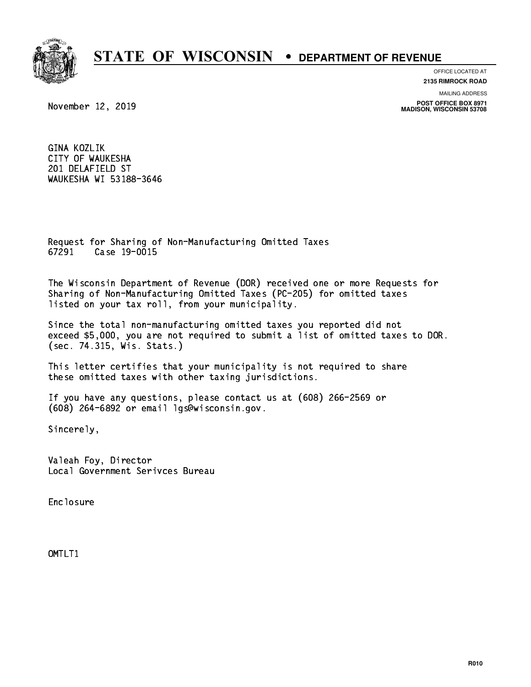

**OFFICE LOCATED AT**

**2135 RIMROCK ROAD**

**MAILING ADDRESS**

**POST OFFICE BOX 8971 MADISON, WISCONSIN 53708**

November 12, 2019

 GINA KOZLIK CITY OF WAUKESHA 201 DELAFIELD ST WAUKESHA WI 53188-3646

 Request for Sharing of Non-Manufacturing Omitted Taxes 67291 Case 19-0015

 The Wisconsin Department of Revenue (DOR) received one or more Requests for Sharing of Non-Manufacturing Omitted Taxes (PC-205) for omitted taxes listed on your tax roll, from your municipality.

 Since the total non-manufacturing omitted taxes you reported did not exceed \$5,000, you are not required to submit a list of omitted taxes to DOR. (sec. 74.315, Wis. Stats.)

 This letter certifies that your municipality is not required to share these omitted taxes with other taxing jurisdictions.

 If you have any questions, please contact us at (608) 266-2569 or (608) 264-6892 or email lgs@wisconsin.gov.

Sincerely,

 Valeah Foy, Director Local Government Serivces Bureau

Enclosure Enclosure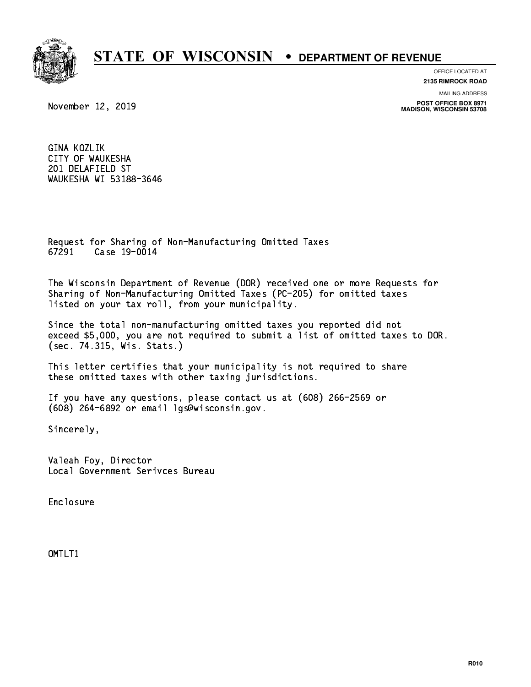

**OFFICE LOCATED AT**

**2135 RIMROCK ROAD**

**MAILING ADDRESS**

**POST OFFICE BOX 8971 MADISON, WISCONSIN 53708**

November 12, 2019

 GINA KOZLIK CITY OF WAUKESHA 201 DELAFIELD ST WAUKESHA WI 53188-3646

 Request for Sharing of Non-Manufacturing Omitted Taxes 67291 Case 19-0014

 The Wisconsin Department of Revenue (DOR) received one or more Requests for Sharing of Non-Manufacturing Omitted Taxes (PC-205) for omitted taxes listed on your tax roll, from your municipality.

 Since the total non-manufacturing omitted taxes you reported did not exceed \$5,000, you are not required to submit a list of omitted taxes to DOR. (sec. 74.315, Wis. Stats.)

 This letter certifies that your municipality is not required to share these omitted taxes with other taxing jurisdictions.

 If you have any questions, please contact us at (608) 266-2569 or (608) 264-6892 or email lgs@wisconsin.gov.

Sincerely,

 Valeah Foy, Director Local Government Serivces Bureau

Enclosure Enclosure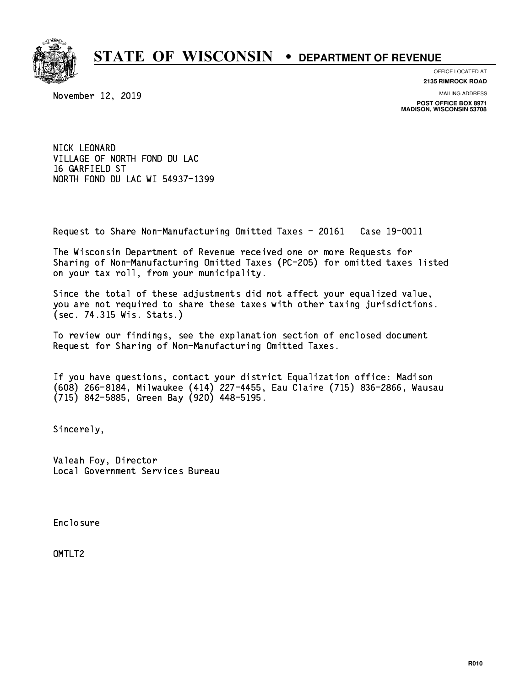

**OFFICE LOCATED AT**

November 12, 2019

**2135 RIMROCK ROAD**

**MAILING ADDRESS**

**POST OFFICE BOX 8971 MADISON, WISCONSIN 53708**

 NICK LEONARD VILLAGE OF NORTH FOND DU LAC 16 GARFIELD ST 16 Garcier Stephen Stephen NORTH FOND DU LAC WI 54937-1399

Request to Share Non-Manufacturing Omitted Taxes - 20161 Case 19-0011

 The Wisconsin Department of Revenue received one or more Requests for Sharing of Non-Manufacturing Omitted Taxes (PC-205) for omitted taxes listed on your tax roll, from your municipality.

 Since the total of these adjustments did not affect your equalized value, you are not required to share these taxes with other taxing jurisdictions. (sec. 74.315 Wis. Stats.)

 To review our findings, see the explanation section of enclosed document Request for Sharing of Non-Manufacturing Omitted Taxes.

 If you have questions, contact your district Equalization office: Madison (608) 266-8184, Milwaukee (414) 227-4455, Eau Claire (715) 836-2866, Wausau (715) 842-5885, Green Bay (920) 448-5195.

Sincerely,

 Valeah Foy, Director Local Government Services Bureau

Enclosure Enclosure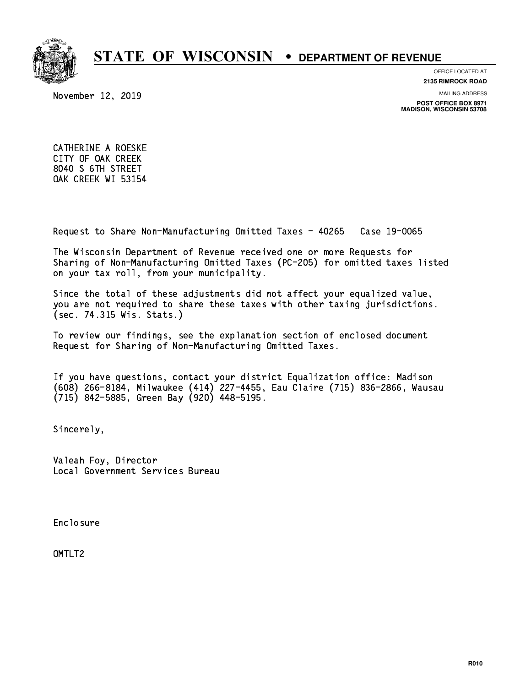

**OFFICE LOCATED AT**

**2135 RIMROCK ROAD**

November 12, 2019

**MAILING ADDRESS**

**POST OFFICE BOX 8971 MADISON, WISCONSIN 53708**

 CATHERINE A ROESKE CITY OF OAK CREEK 8040 S 6TH STREET OAK CREEK WI 53154

Request to Share Non-Manufacturing Omitted Taxes - 40265 Case 19-0065

 The Wisconsin Department of Revenue received one or more Requests for Sharing of Non-Manufacturing Omitted Taxes (PC-205) for omitted taxes listed on your tax roll, from your municipality.

 Since the total of these adjustments did not affect your equalized value, you are not required to share these taxes with other taxing jurisdictions. (sec. 74.315 Wis. Stats.)

 To review our findings, see the explanation section of enclosed document Request for Sharing of Non-Manufacturing Omitted Taxes.

 If you have questions, contact your district Equalization office: Madison (608) 266-8184, Milwaukee (414) 227-4455, Eau Claire (715) 836-2866, Wausau (715) 842-5885, Green Bay (920) 448-5195.

Sincerely,

 Valeah Foy, Director Local Government Services Bureau

Enclosure Enclosure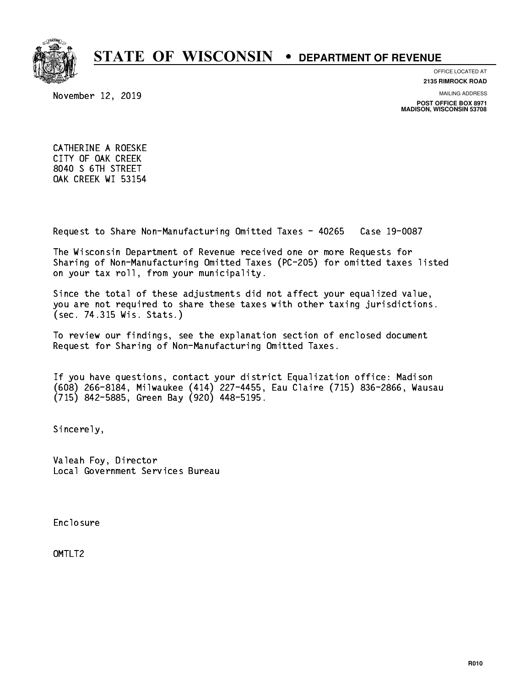

**OFFICE LOCATED AT**

**2135 RIMROCK ROAD**

November 12, 2019

**MAILING ADDRESS**

**POST OFFICE BOX 8971 MADISON, WISCONSIN 53708**

 CATHERINE A ROESKE CITY OF OAK CREEK 8040 S 6TH STREET OAK CREEK WI 53154

Request to Share Non-Manufacturing Omitted Taxes - 40265 Case 19-0087

 The Wisconsin Department of Revenue received one or more Requests for Sharing of Non-Manufacturing Omitted Taxes (PC-205) for omitted taxes listed on your tax roll, from your municipality.

 Since the total of these adjustments did not affect your equalized value, you are not required to share these taxes with other taxing jurisdictions. (sec. 74.315 Wis. Stats.)

 To review our findings, see the explanation section of enclosed document Request for Sharing of Non-Manufacturing Omitted Taxes.

 If you have questions, contact your district Equalization office: Madison (608) 266-8184, Milwaukee (414) 227-4455, Eau Claire (715) 836-2866, Wausau (715) 842-5885, Green Bay (920) 448-5195.

Sincerely,

 Valeah Foy, Director Local Government Services Bureau

Enclosure Enclosure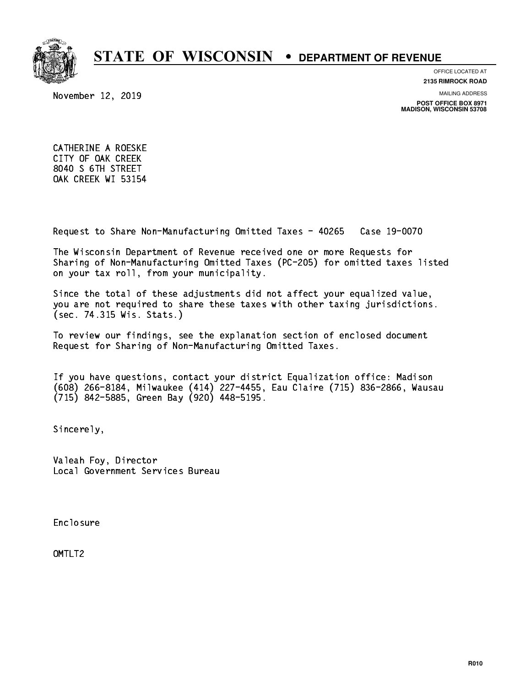

**OFFICE LOCATED AT**

**2135 RIMROCK ROAD**

November 12, 2019

**MAILING ADDRESS**

**POST OFFICE BOX 8971 MADISON, WISCONSIN 53708**

 CATHERINE A ROESKE CITY OF OAK CREEK 8040 S 6TH STREET OAK CREEK WI 53154

Request to Share Non-Manufacturing Omitted Taxes - 40265 Case 19-0070

 The Wisconsin Department of Revenue received one or more Requests for Sharing of Non-Manufacturing Omitted Taxes (PC-205) for omitted taxes listed on your tax roll, from your municipality.

 Since the total of these adjustments did not affect your equalized value, you are not required to share these taxes with other taxing jurisdictions. (sec. 74.315 Wis. Stats.)

 To review our findings, see the explanation section of enclosed document Request for Sharing of Non-Manufacturing Omitted Taxes.

 If you have questions, contact your district Equalization office: Madison (608) 266-8184, Milwaukee (414) 227-4455, Eau Claire (715) 836-2866, Wausau (715) 842-5885, Green Bay (920) 448-5195.

Sincerely,

 Valeah Foy, Director Local Government Services Bureau

Enclosure Enclosure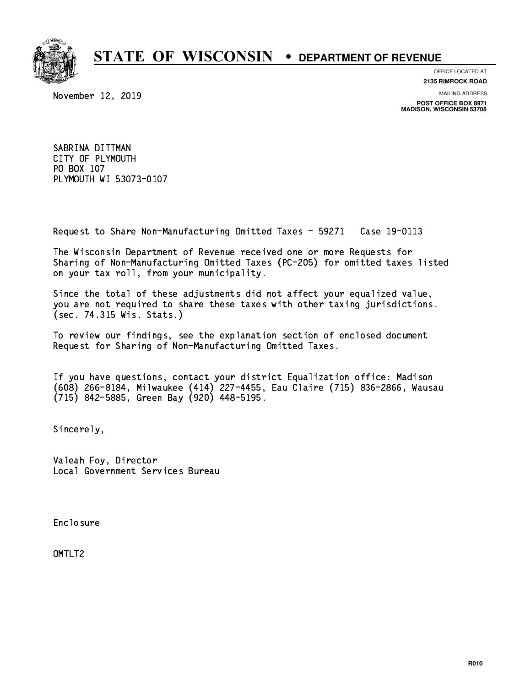

**OFFICE LOCATED AT 2135 RIMROCK ROAD**

**MAILING ADDRESS**

**POST OFFICE BOX 8971 MADISON, WISCONSIN 53708**

November 12, 2019

 SABRINA DITTMAN CITY OF PLYMOUTH PO BOX 107 PO BOX 107 PLYMOUTH WI 53073-0107

Request to Share Non-Manufacturing Omitted Taxes - 59271 Case 19-0113

 The Wisconsin Department of Revenue received one or more Requests for Sharing of Non-Manufacturing Omitted Taxes (PC-205) for omitted taxes listed on your tax roll, from your municipality.

 Since the total of these adjustments did not affect your equalized value, you are not required to share these taxes with other taxing jurisdictions. (sec. 74.315 Wis. Stats.)

 To review our findings, see the explanation section of enclosed document Request for Sharing of Non-Manufacturing Omitted Taxes.

 If you have questions, contact your district Equalization office: Madison (608) 266-8184, Milwaukee (414) 227-4455, Eau Claire (715) 836-2866, Wausau (715) 842-5885, Green Bay (920) 448-5195.

Sincerely,

 Valeah Foy, Director Local Government Services Bureau

Enclosure Enclosure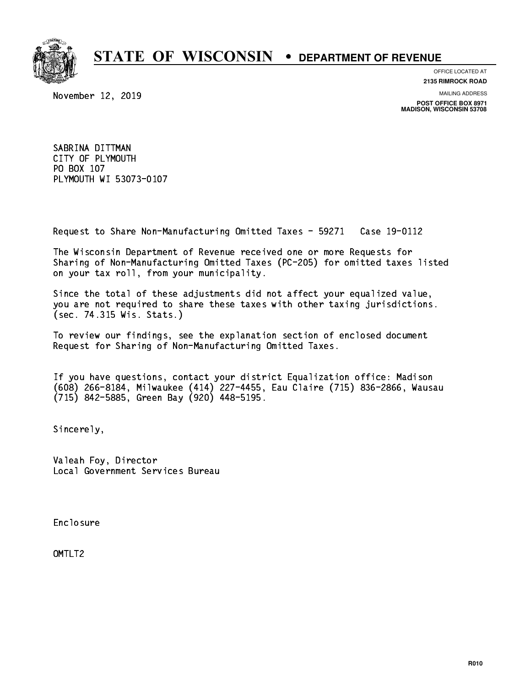

**OFFICE LOCATED AT 2135 RIMROCK ROAD**

**MAILING ADDRESS**

**POST OFFICE BOX 8971 MADISON, WISCONSIN 53708**

November 12, 2019

 SABRINA DITTMAN CITY OF PLYMOUTH PO BOX 107 PO BOX 107 PLYMOUTH WI 53073-0107

Request to Share Non-Manufacturing Omitted Taxes - 59271 Case 19-0112

 The Wisconsin Department of Revenue received one or more Requests for Sharing of Non-Manufacturing Omitted Taxes (PC-205) for omitted taxes listed on your tax roll, from your municipality.

 Since the total of these adjustments did not affect your equalized value, you are not required to share these taxes with other taxing jurisdictions. (sec. 74.315 Wis. Stats.)

 To review our findings, see the explanation section of enclosed document Request for Sharing of Non-Manufacturing Omitted Taxes.

 If you have questions, contact your district Equalization office: Madison (608) 266-8184, Milwaukee (414) 227-4455, Eau Claire (715) 836-2866, Wausau (715) 842-5885, Green Bay (920) 448-5195.

Sincerely,

 Valeah Foy, Director Local Government Services Bureau

Enclosure Enclosure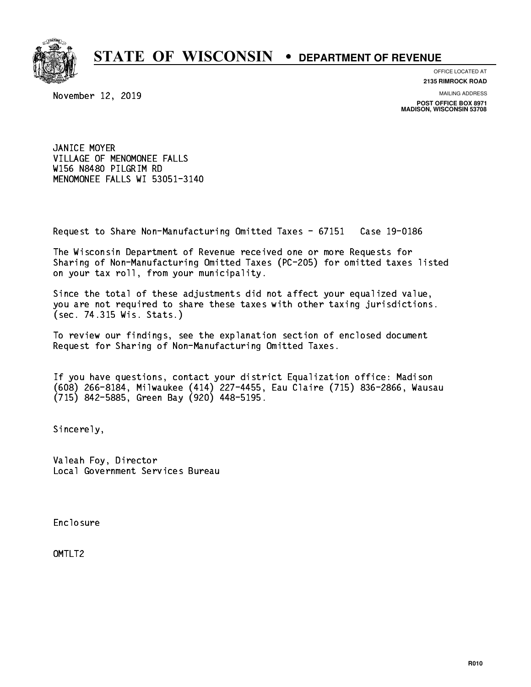

**OFFICE LOCATED AT**

November 12, 2019

**2135 RIMROCK ROAD**

**MAILING ADDRESS**

**POST OFFICE BOX 8971 MADISON, WISCONSIN 53708**

 JANICE MOYER VILLAGE OF MENOMONEE FALLS W156 N8480 PILGRIM RD MENOMONEE FALLS WI 53051-3140

Request to Share Non-Manufacturing Omitted Taxes - 67151 Case 19-0186

 The Wisconsin Department of Revenue received one or more Requests for Sharing of Non-Manufacturing Omitted Taxes (PC-205) for omitted taxes listed on your tax roll, from your municipality.

 Since the total of these adjustments did not affect your equalized value, you are not required to share these taxes with other taxing jurisdictions. (sec. 74.315 Wis. Stats.)

 To review our findings, see the explanation section of enclosed document Request for Sharing of Non-Manufacturing Omitted Taxes.

 If you have questions, contact your district Equalization office: Madison (608) 266-8184, Milwaukee (414) 227-4455, Eau Claire (715) 836-2866, Wausau (715) 842-5885, Green Bay (920) 448-5195.

Sincerely,

 Valeah Foy, Director Local Government Services Bureau

Enclosure Enclosure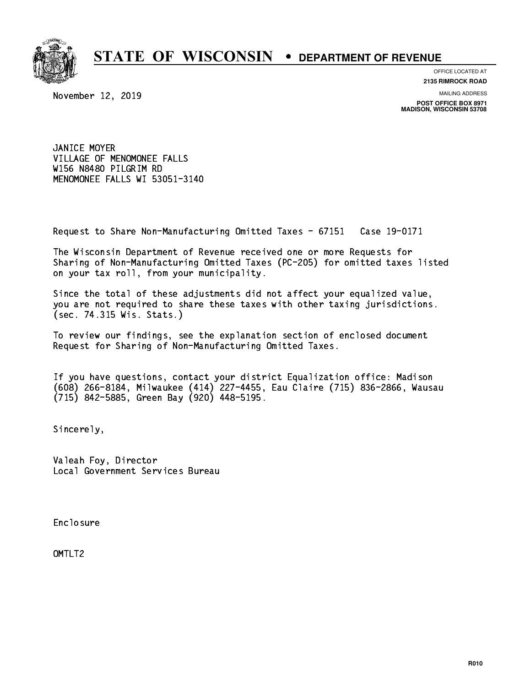

**OFFICE LOCATED AT**

November 12, 2019

**2135 RIMROCK ROAD**

**MAILING ADDRESS**

**POST OFFICE BOX 8971 MADISON, WISCONSIN 53708**

 JANICE MOYER VILLAGE OF MENOMONEE FALLS W156 N8480 PILGRIM RD MENOMONEE FALLS WI 53051-3140

Request to Share Non-Manufacturing Omitted Taxes - 67151 Case 19-0171

 The Wisconsin Department of Revenue received one or more Requests for Sharing of Non-Manufacturing Omitted Taxes (PC-205) for omitted taxes listed on your tax roll, from your municipality.

 Since the total of these adjustments did not affect your equalized value, you are not required to share these taxes with other taxing jurisdictions. (sec. 74.315 Wis. Stats.)

 To review our findings, see the explanation section of enclosed document Request for Sharing of Non-Manufacturing Omitted Taxes.

 If you have questions, contact your district Equalization office: Madison (608) 266-8184, Milwaukee (414) 227-4455, Eau Claire (715) 836-2866, Wausau (715) 842-5885, Green Bay (920) 448-5195.

Sincerely,

 Valeah Foy, Director Local Government Services Bureau

Enclosure Enclosure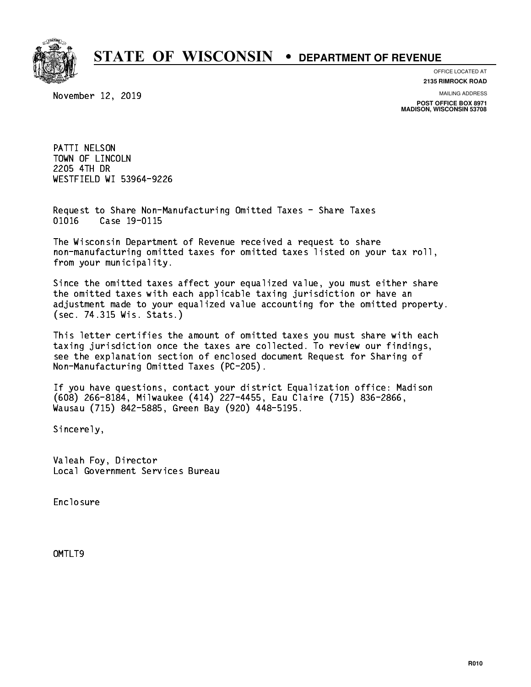

**OFFICE LOCATED AT**

November 12, 2019

**2135 RIMROCK ROAD**

**MAILING ADDRESS**

**POST OFFICE BOX 8971 MADISON, WISCONSIN 53708**

 PATTI NELSON TOWN OF LINCOLN 2205 4TH DR 2205 - 2205 221 222 22 WESTFIELD WI 53964-9226 WESTFIELD WI 53964-9226

 Request to Share Non-Manufacturing Omitted Taxes - Share Taxes 01016 Case 19-0115

 The Wisconsin Department of Revenue received a request to share non-manufacturing omitted taxes for omitted taxes listed on your tax roll, from your municipality.

 Since the omitted taxes affect your equalized value, you must either share the omitted taxes with each applicable taxing jurisdiction or have an adjustment made to your equalized value accounting for the omitted property. (sec. 74.315 Wis. Stats.)

 This letter certifies the amount of omitted taxes you must share with each taxing jurisdiction once the taxes are collected. To review our findings, see the explanation section of enclosed document Request for Sharing of Non-Manufacturing Omitted Taxes (PC-205).

 If you have questions, contact your district Equalization office: Madison (608) 266-8184, Milwaukee (414) 227-4455, Eau Claire (715) 836-2866, Wausau (715) 842-5885, Green Bay (920) 448-5195.

Sincerely,

 Valeah Foy, Director Local Government Services Bureau

Enclosure Enclosure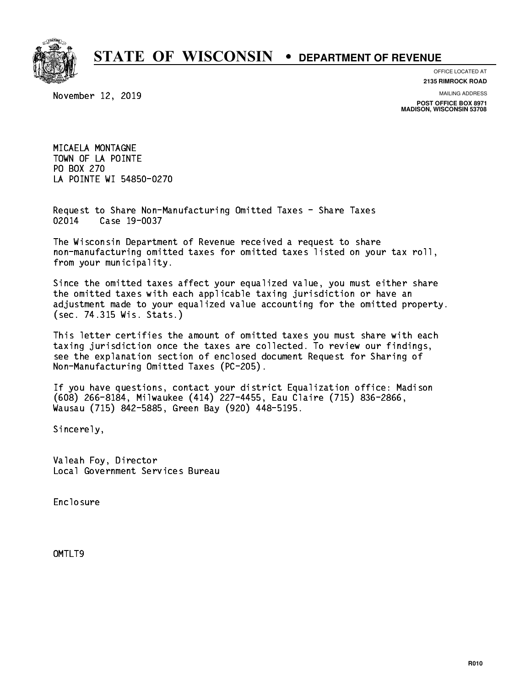

**OFFICE LOCATED AT**

**2135 RIMROCK ROAD**

**MAILING ADDRESS**

**POST OFFICE BOX 8971 MADISON, WISCONSIN 53708**

 MICAELA MONTAGNE TOWN OF LA POINTE PO BOX 270 PO BOX 270 LA POINTE WI 54850-0270

November 12, 2019

 Request to Share Non-Manufacturing Omitted Taxes - Share Taxes 02014 Case 19-0037

 The Wisconsin Department of Revenue received a request to share non-manufacturing omitted taxes for omitted taxes listed on your tax roll, from your municipality.

 Since the omitted taxes affect your equalized value, you must either share the omitted taxes with each applicable taxing jurisdiction or have an adjustment made to your equalized value accounting for the omitted property. (sec. 74.315 Wis. Stats.)

 This letter certifies the amount of omitted taxes you must share with each taxing jurisdiction once the taxes are collected. To review our findings, see the explanation section of enclosed document Request for Sharing of Non-Manufacturing Omitted Taxes (PC-205).

 If you have questions, contact your district Equalization office: Madison (608) 266-8184, Milwaukee (414) 227-4455, Eau Claire (715) 836-2866, Wausau (715) 842-5885, Green Bay (920) 448-5195.

Sincerely,

 Valeah Foy, Director Local Government Services Bureau

Enclosure Enclosure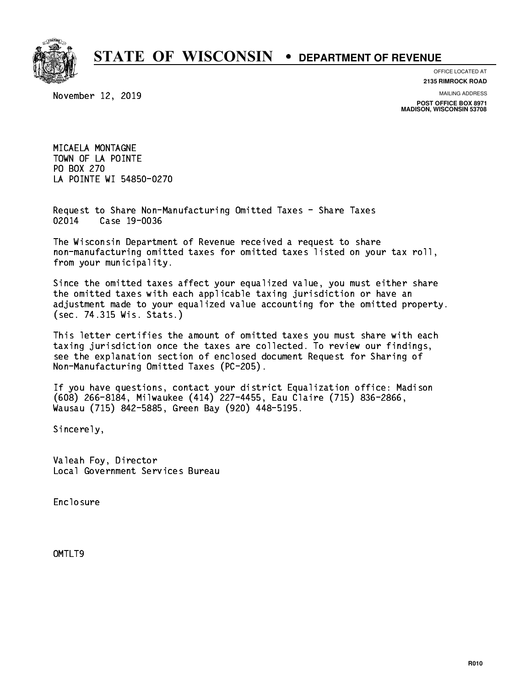

November 12, 2019

**OFFICE LOCATED AT 2135 RIMROCK ROAD**

**MAILING ADDRESS**

**POST OFFICE BOX 8971 MADISON, WISCONSIN 53708**

 MICAELA MONTAGNE TOWN OF LA POINTE PO BOX 270 PO BOX 270 LA POINTE WI 54850-0270

 Request to Share Non-Manufacturing Omitted Taxes - Share Taxes 02014 Case 19-0036

 The Wisconsin Department of Revenue received a request to share non-manufacturing omitted taxes for omitted taxes listed on your tax roll, from your municipality.

 Since the omitted taxes affect your equalized value, you must either share the omitted taxes with each applicable taxing jurisdiction or have an adjustment made to your equalized value accounting for the omitted property. (sec. 74.315 Wis. Stats.)

 This letter certifies the amount of omitted taxes you must share with each taxing jurisdiction once the taxes are collected. To review our findings, see the explanation section of enclosed document Request for Sharing of Non-Manufacturing Omitted Taxes (PC-205).

 If you have questions, contact your district Equalization office: Madison (608) 266-8184, Milwaukee (414) 227-4455, Eau Claire (715) 836-2866, Wausau (715) 842-5885, Green Bay (920) 448-5195.

Sincerely,

 Valeah Foy, Director Local Government Services Bureau

Enclosure Enclosure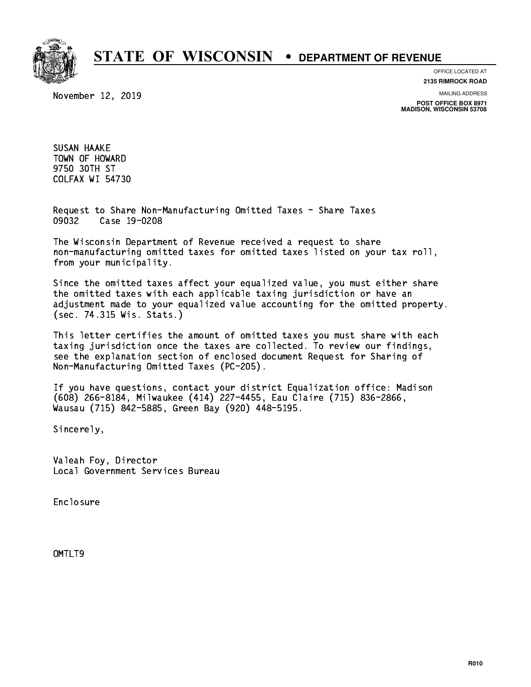

November 12, 2019

**OFFICE LOCATED AT 2135 RIMROCK ROAD**

**MAILING ADDRESS**

**POST OFFICE BOX 8971 MADISON, WISCONSIN 53708**

 SUSAN HAAKE TOWN OF HOWARD 9750 30TH ST 9750 30TH ST COLFAX WI 54730

> Request to Share Non-Manufacturing Omitted Taxes - Share Taxes 09032 Case 19-0208

 The Wisconsin Department of Revenue received a request to share non-manufacturing omitted taxes for omitted taxes listed on your tax roll, from your municipality.

 Since the omitted taxes affect your equalized value, you must either share the omitted taxes with each applicable taxing jurisdiction or have an adjustment made to your equalized value accounting for the omitted property. (sec. 74.315 Wis. Stats.)

 This letter certifies the amount of omitted taxes you must share with each taxing jurisdiction once the taxes are collected. To review our findings, see the explanation section of enclosed document Request for Sharing of Non-Manufacturing Omitted Taxes (PC-205).

 If you have questions, contact your district Equalization office: Madison (608) 266-8184, Milwaukee (414) 227-4455, Eau Claire (715) 836-2866, Wausau (715) 842-5885, Green Bay (920) 448-5195.

Sincerely,

 Valeah Foy, Director Local Government Services Bureau

Enclosure Enclosure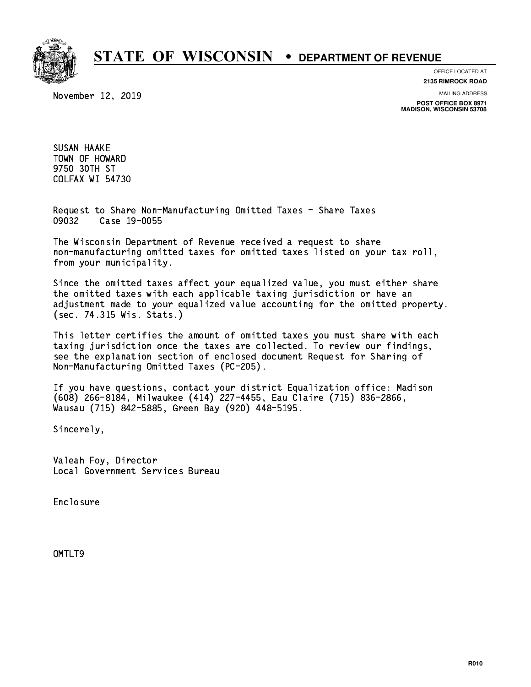

November 12, 2019

**OFFICE LOCATED AT 2135 RIMROCK ROAD**

**MAILING ADDRESS**

**POST OFFICE BOX 8971 MADISON, WISCONSIN 53708**

 SUSAN HAAKE TOWN OF HOWARD 9750 30TH ST 9750 30TH ST COLFAX WI 54730

> Request to Share Non-Manufacturing Omitted Taxes - Share Taxes 09032 Case 19-0055

 The Wisconsin Department of Revenue received a request to share non-manufacturing omitted taxes for omitted taxes listed on your tax roll, from your municipality.

 Since the omitted taxes affect your equalized value, you must either share the omitted taxes with each applicable taxing jurisdiction or have an adjustment made to your equalized value accounting for the omitted property. (sec. 74.315 Wis. Stats.)

 This letter certifies the amount of omitted taxes you must share with each taxing jurisdiction once the taxes are collected. To review our findings, see the explanation section of enclosed document Request for Sharing of Non-Manufacturing Omitted Taxes (PC-205).

 If you have questions, contact your district Equalization office: Madison (608) 266-8184, Milwaukee (414) 227-4455, Eau Claire (715) 836-2866, Wausau (715) 842-5885, Green Bay (920) 448-5195.

Sincerely,

 Valeah Foy, Director Local Government Services Bureau

Enclosure Enclosure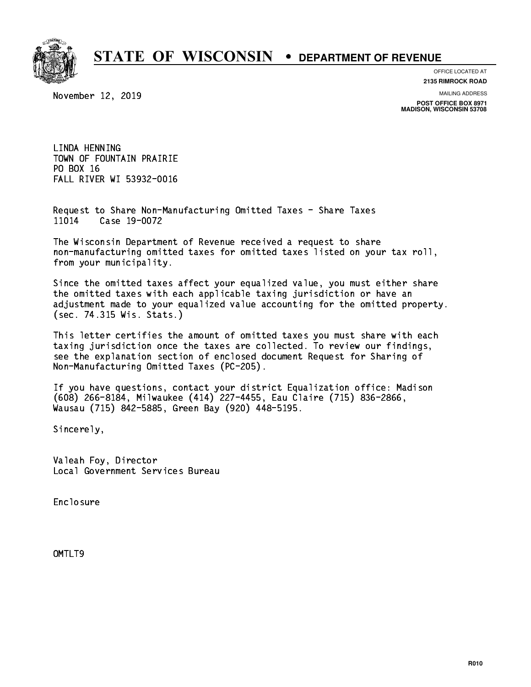

**OFFICE LOCATED AT**

November 12, 2019

**2135 RIMROCK ROAD**

**MAILING ADDRESS**

**POST OFFICE BOX 8971 MADISON, WISCONSIN 53708**

 LINDA HENNING TOWN OF FOUNTAIN PRAIRIE PO BOX 16 PO BOX 16 FALL RIVER WI 53932-0016

 Request to Share Non-Manufacturing Omitted Taxes - Share Taxes 11014 Case 19-0072

 The Wisconsin Department of Revenue received a request to share non-manufacturing omitted taxes for omitted taxes listed on your tax roll, from your municipality.

 Since the omitted taxes affect your equalized value, you must either share the omitted taxes with each applicable taxing jurisdiction or have an adjustment made to your equalized value accounting for the omitted property. (sec. 74.315 Wis. Stats.)

 This letter certifies the amount of omitted taxes you must share with each taxing jurisdiction once the taxes are collected. To review our findings, see the explanation section of enclosed document Request for Sharing of Non-Manufacturing Omitted Taxes (PC-205).

 If you have questions, contact your district Equalization office: Madison (608) 266-8184, Milwaukee (414) 227-4455, Eau Claire (715) 836-2866, Wausau (715) 842-5885, Green Bay (920) 448-5195.

Sincerely,

 Valeah Foy, Director Local Government Services Bureau

Enclosure Enclosure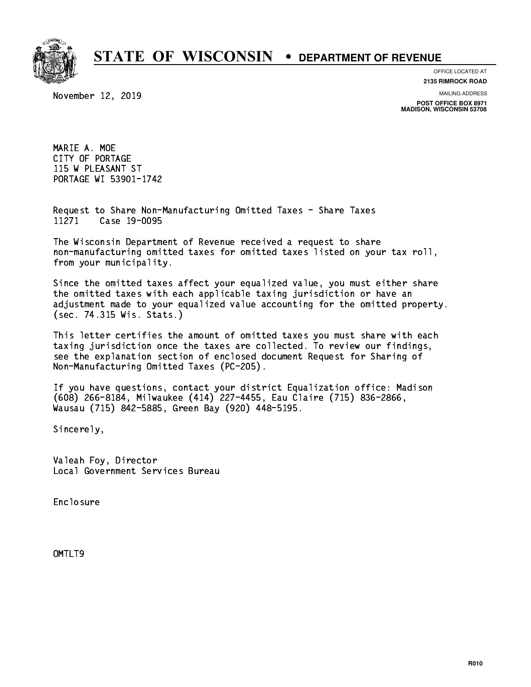

**OFFICE LOCATED AT**

November 12, 2019

**2135 RIMROCK ROAD**

**MAILING ADDRESS POST OFFICE BOX 8971 MADISON, WISCONSIN 53708**

 MARIE A. MOE CITY OF PORTAGE 115 W PLEASANT ST PORTAGE WI 53901-1742

 Request to Share Non-Manufacturing Omitted Taxes - Share Taxes 11271 Case 19-0095

 The Wisconsin Department of Revenue received a request to share non-manufacturing omitted taxes for omitted taxes listed on your tax roll, from your municipality.

 Since the omitted taxes affect your equalized value, you must either share the omitted taxes with each applicable taxing jurisdiction or have an adjustment made to your equalized value accounting for the omitted property. (sec. 74.315 Wis. Stats.)

 This letter certifies the amount of omitted taxes you must share with each taxing jurisdiction once the taxes are collected. To review our findings, see the explanation section of enclosed document Request for Sharing of Non-Manufacturing Omitted Taxes (PC-205).

 If you have questions, contact your district Equalization office: Madison (608) 266-8184, Milwaukee (414) 227-4455, Eau Claire (715) 836-2866, Wausau (715) 842-5885, Green Bay (920) 448-5195.

Sincerely,

 Valeah Foy, Director Local Government Services Bureau

Enclosure Enclosure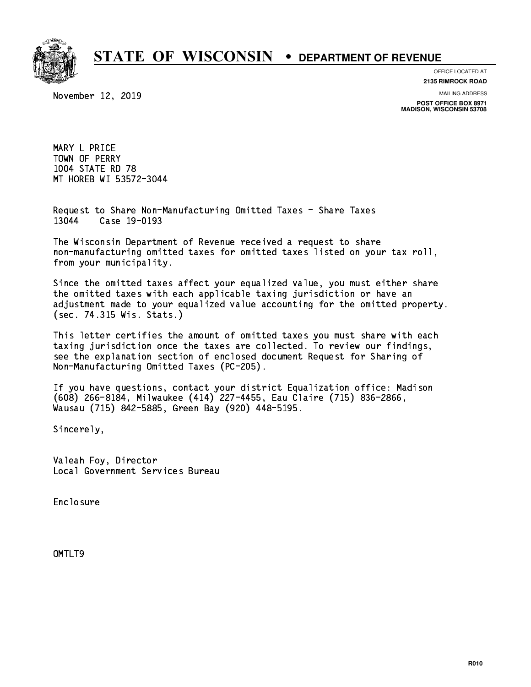

**OFFICE LOCATED AT**

November 12, 2019

**2135 RIMROCK ROAD**

**MAILING ADDRESS**

**POST OFFICE BOX 8971 MADISON, WISCONSIN 53708**

 MARY L PRICE TOWN OF PERRY 1004 STATE RD 78 MT HOREB WI 53572-3044

 Request to Share Non-Manufacturing Omitted Taxes - Share Taxes 13044 Case 19-0193

 The Wisconsin Department of Revenue received a request to share non-manufacturing omitted taxes for omitted taxes listed on your tax roll, from your municipality.

 Since the omitted taxes affect your equalized value, you must either share the omitted taxes with each applicable taxing jurisdiction or have an adjustment made to your equalized value accounting for the omitted property. (sec. 74.315 Wis. Stats.)

 This letter certifies the amount of omitted taxes you must share with each taxing jurisdiction once the taxes are collected. To review our findings, see the explanation section of enclosed document Request for Sharing of Non-Manufacturing Omitted Taxes (PC-205).

 If you have questions, contact your district Equalization office: Madison (608) 266-8184, Milwaukee (414) 227-4455, Eau Claire (715) 836-2866, Wausau (715) 842-5885, Green Bay (920) 448-5195.

Sincerely,

 Valeah Foy, Director Local Government Services Bureau

Enclosure Enclosure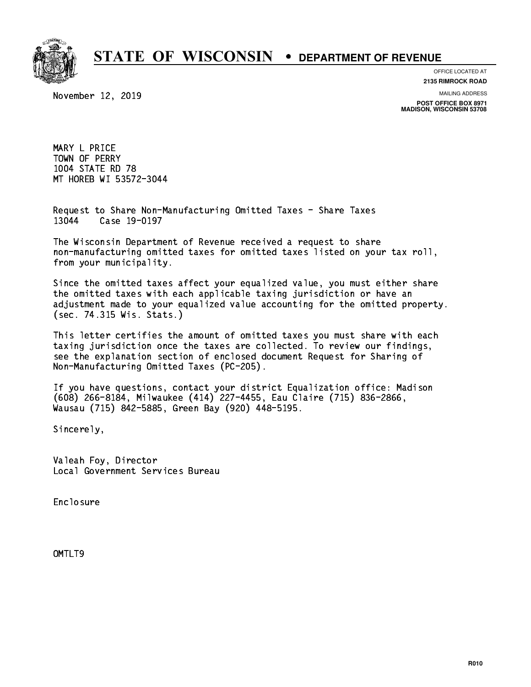

**OFFICE LOCATED AT**

November 12, 2019

**2135 RIMROCK ROAD**

**MAILING ADDRESS**

**POST OFFICE BOX 8971 MADISON, WISCONSIN 53708**

 MARY L PRICE TOWN OF PERRY 1004 STATE RD 78 MT HOREB WI 53572-3044

 Request to Share Non-Manufacturing Omitted Taxes - Share Taxes 13044 Case 19-0197

 The Wisconsin Department of Revenue received a request to share non-manufacturing omitted taxes for omitted taxes listed on your tax roll, from your municipality.

 Since the omitted taxes affect your equalized value, you must either share the omitted taxes with each applicable taxing jurisdiction or have an adjustment made to your equalized value accounting for the omitted property. (sec. 74.315 Wis. Stats.)

 This letter certifies the amount of omitted taxes you must share with each taxing jurisdiction once the taxes are collected. To review our findings, see the explanation section of enclosed document Request for Sharing of Non-Manufacturing Omitted Taxes (PC-205).

 If you have questions, contact your district Equalization office: Madison (608) 266-8184, Milwaukee (414) 227-4455, Eau Claire (715) 836-2866, Wausau (715) 842-5885, Green Bay (920) 448-5195.

Sincerely,

 Valeah Foy, Director Local Government Services Bureau

Enclosure Enclosure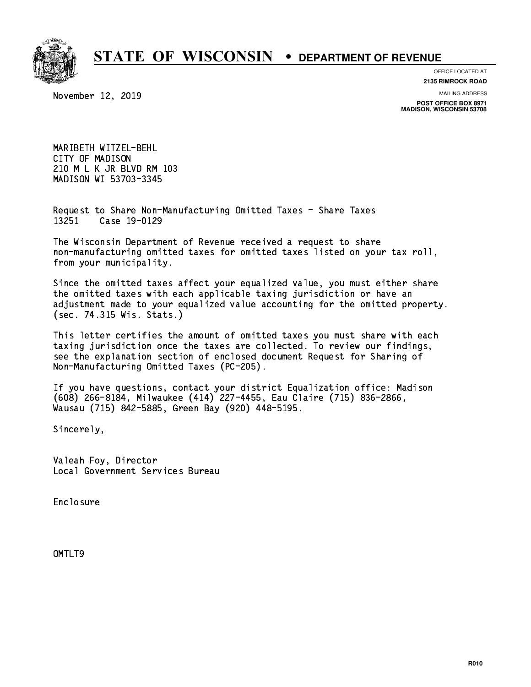

# **OFFICE LOCATED AT**

November 12, 2019

**2135 RIMROCK ROAD**

**MAILING ADDRESS**

**POST OFFICE BOX 8971 MADISON, WISCONSIN 53708**

 MARIBETH WITZEL-BEHL CITY OF MADISON 210 M L K JR BLVD RM 103 MADISON WI 53703-3345

 Request to Share Non-Manufacturing Omitted Taxes - Share Taxes 13251 Case 19-0129

 The Wisconsin Department of Revenue received a request to share non-manufacturing omitted taxes for omitted taxes listed on your tax roll, from your municipality.

 Since the omitted taxes affect your equalized value, you must either share the omitted taxes with each applicable taxing jurisdiction or have an adjustment made to your equalized value accounting for the omitted property. (sec. 74.315 Wis. Stats.)

 This letter certifies the amount of omitted taxes you must share with each taxing jurisdiction once the taxes are collected. To review our findings, see the explanation section of enclosed document Request for Sharing of Non-Manufacturing Omitted Taxes (PC-205).

 If you have questions, contact your district Equalization office: Madison (608) 266-8184, Milwaukee (414) 227-4455, Eau Claire (715) 836-2866, Wausau (715) 842-5885, Green Bay (920) 448-5195.

Sincerely,

 Valeah Foy, Director Local Government Services Bureau

Enclosure Enclosure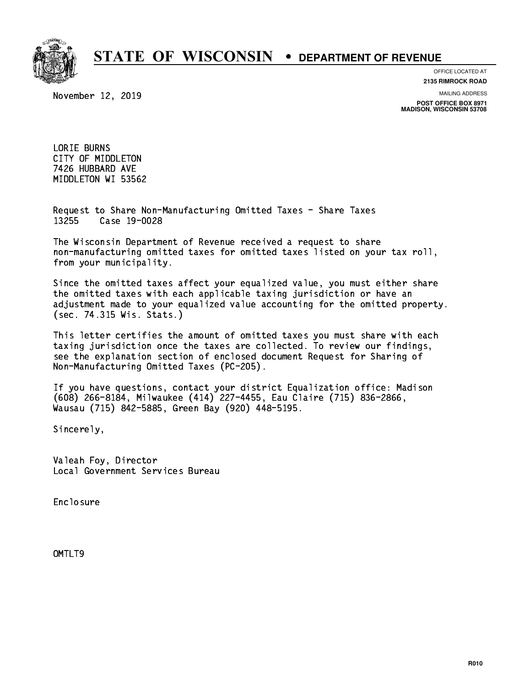

**OFFICE LOCATED AT**

November 12, 2019

**2135 RIMROCK ROAD**

**MAILING ADDRESS**

**POST OFFICE BOX 8971 MADISON, WISCONSIN 53708**

 LORIE BURNS CITY OF MIDDLETON 7426 HUBBARD AVE MIDDLETON WI 53562

 Request to Share Non-Manufacturing Omitted Taxes - Share Taxes 13255 Case 19-0028

 The Wisconsin Department of Revenue received a request to share non-manufacturing omitted taxes for omitted taxes listed on your tax roll, from your municipality.

 Since the omitted taxes affect your equalized value, you must either share the omitted taxes with each applicable taxing jurisdiction or have an adjustment made to your equalized value accounting for the omitted property. (sec. 74.315 Wis. Stats.)

 This letter certifies the amount of omitted taxes you must share with each taxing jurisdiction once the taxes are collected. To review our findings, see the explanation section of enclosed document Request for Sharing of Non-Manufacturing Omitted Taxes (PC-205).

 If you have questions, contact your district Equalization office: Madison (608) 266-8184, Milwaukee (414) 227-4455, Eau Claire (715) 836-2866, Wausau (715) 842-5885, Green Bay (920) 448-5195.

Sincerely,

 Valeah Foy, Director Local Government Services Bureau

Enclosure Enclosure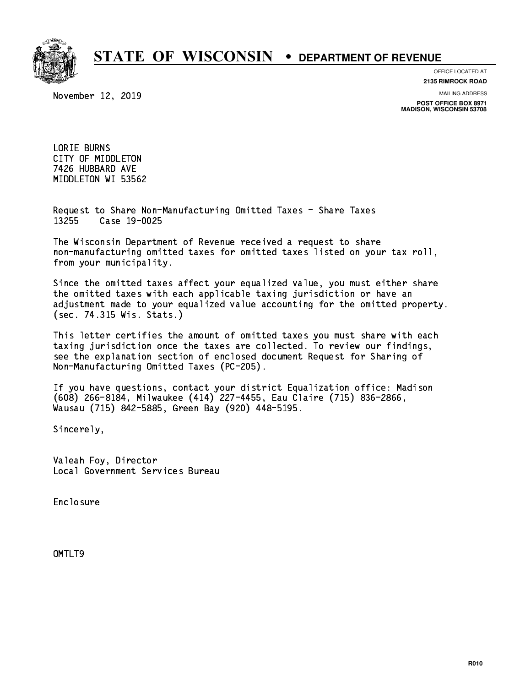

**OFFICE LOCATED AT**

November 12, 2019

**2135 RIMROCK ROAD**

**MAILING ADDRESS POST OFFICE BOX 8971 MADISON, WISCONSIN 53708**

 LORIE BURNS CITY OF MIDDLETON 7426 HUBBARD AVE MIDDLETON WI 53562

 Request to Share Non-Manufacturing Omitted Taxes - Share Taxes 13255 Case 19-0025

 The Wisconsin Department of Revenue received a request to share non-manufacturing omitted taxes for omitted taxes listed on your tax roll, from your municipality.

 Since the omitted taxes affect your equalized value, you must either share the omitted taxes with each applicable taxing jurisdiction or have an adjustment made to your equalized value accounting for the omitted property. (sec. 74.315 Wis. Stats.)

 This letter certifies the amount of omitted taxes you must share with each taxing jurisdiction once the taxes are collected. To review our findings, see the explanation section of enclosed document Request for Sharing of Non-Manufacturing Omitted Taxes (PC-205).

 If you have questions, contact your district Equalization office: Madison (608) 266-8184, Milwaukee (414) 227-4455, Eau Claire (715) 836-2866, Wausau (715) 842-5885, Green Bay (920) 448-5195.

Sincerely,

 Valeah Foy, Director Local Government Services Bureau

Enclosure Enclosure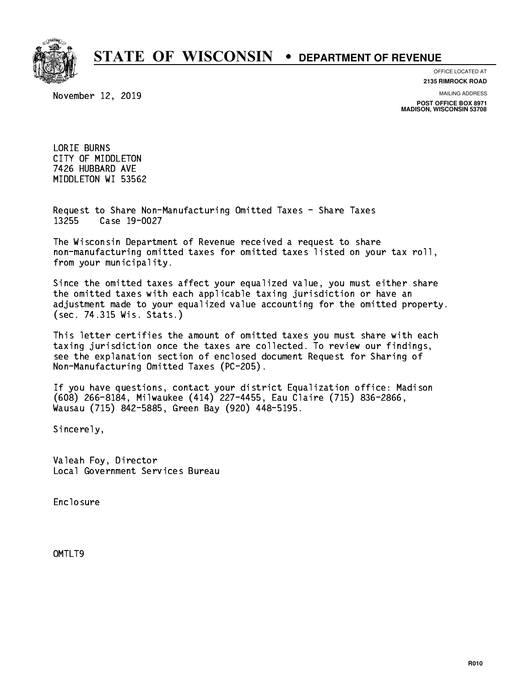

**OFFICE LOCATED AT**

November 12, 2019

**2135 RIMROCK ROAD**

**MAILING ADDRESS POST OFFICE BOX 8971 MADISON, WISCONSIN 53708**

 LORIE BURNS CITY OF MIDDLETON 7426 HUBBARD AVE MIDDLETON WI 53562

 Request to Share Non-Manufacturing Omitted Taxes - Share Taxes 13255 Case 19-0027

 The Wisconsin Department of Revenue received a request to share non-manufacturing omitted taxes for omitted taxes listed on your tax roll, from your municipality.

 Since the omitted taxes affect your equalized value, you must either share the omitted taxes with each applicable taxing jurisdiction or have an adjustment made to your equalized value accounting for the omitted property. (sec. 74.315 Wis. Stats.)

 This letter certifies the amount of omitted taxes you must share with each taxing jurisdiction once the taxes are collected. To review our findings, see the explanation section of enclosed document Request for Sharing of Non-Manufacturing Omitted Taxes (PC-205).

 If you have questions, contact your district Equalization office: Madison (608) 266-8184, Milwaukee (414) 227-4455, Eau Claire (715) 836-2866, Wausau (715) 842-5885, Green Bay (920) 448-5195.

Sincerely,

 Valeah Foy, Director Local Government Services Bureau

Enclosure Enclosure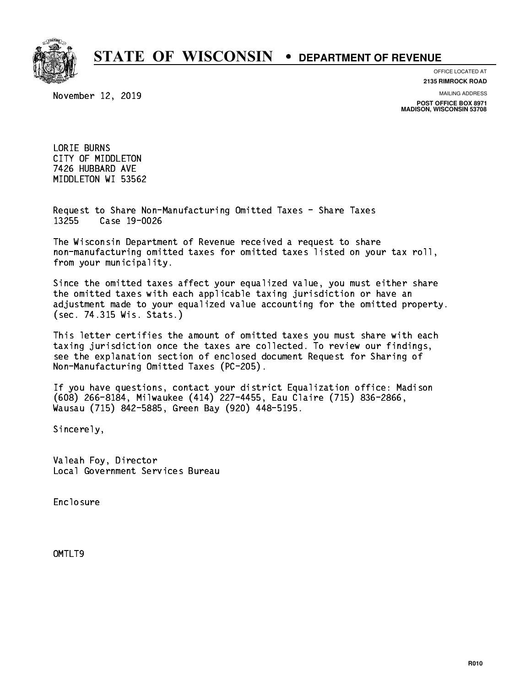

**OFFICE LOCATED AT**

November 12, 2019

**2135 RIMROCK ROAD**

**MAILING ADDRESS POST OFFICE BOX 8971 MADISON, WISCONSIN 53708**

 LORIE BURNS CITY OF MIDDLETON 7426 HUBBARD AVE MIDDLETON WI 53562

 Request to Share Non-Manufacturing Omitted Taxes - Share Taxes 13255 Case 19-0026

 The Wisconsin Department of Revenue received a request to share non-manufacturing omitted taxes for omitted taxes listed on your tax roll, from your municipality.

 Since the omitted taxes affect your equalized value, you must either share the omitted taxes with each applicable taxing jurisdiction or have an adjustment made to your equalized value accounting for the omitted property. (sec. 74.315 Wis. Stats.)

 This letter certifies the amount of omitted taxes you must share with each taxing jurisdiction once the taxes are collected. To review our findings, see the explanation section of enclosed document Request for Sharing of Non-Manufacturing Omitted Taxes (PC-205).

 If you have questions, contact your district Equalization office: Madison (608) 266-8184, Milwaukee (414) 227-4455, Eau Claire (715) 836-2866, Wausau (715) 842-5885, Green Bay (920) 448-5195.

Sincerely,

 Valeah Foy, Director Local Government Services Bureau

Enclosure Enclosure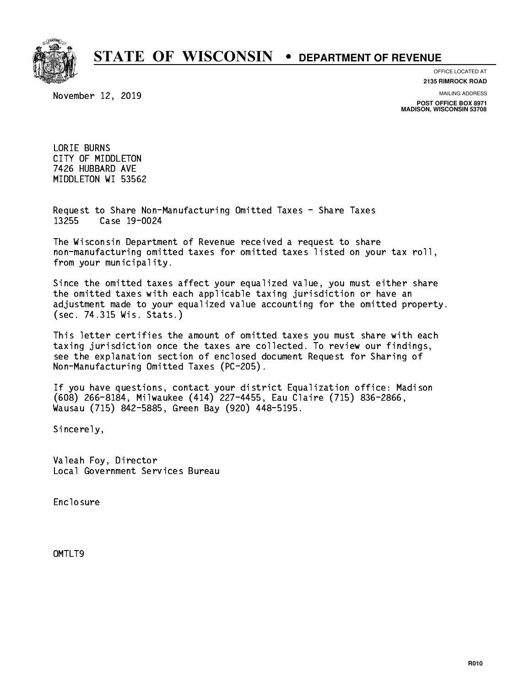

**OFFICE LOCATED AT**

November 12, 2019

**2135 RIMROCK ROAD**

**MAILING ADDRESS**

**POST OFFICE BOX 8971 MADISON, WISCONSIN 53708**

 LORIE BURNS CITY OF MIDDLETON 7426 HUBBARD AVE MIDDLETON WI 53562

 Request to Share Non-Manufacturing Omitted Taxes - Share Taxes 13255 Case 19-0024

 The Wisconsin Department of Revenue received a request to share non-manufacturing omitted taxes for omitted taxes listed on your tax roll, from your municipality.

 Since the omitted taxes affect your equalized value, you must either share the omitted taxes with each applicable taxing jurisdiction or have an adjustment made to your equalized value accounting for the omitted property. (sec. 74.315 Wis. Stats.)

 This letter certifies the amount of omitted taxes you must share with each taxing jurisdiction once the taxes are collected. To review our findings, see the explanation section of enclosed document Request for Sharing of Non-Manufacturing Omitted Taxes (PC-205).

 If you have questions, contact your district Equalization office: Madison (608) 266-8184, Milwaukee (414) 227-4455, Eau Claire (715) 836-2866, Wausau (715) 842-5885, Green Bay (920) 448-5195.

Sincerely,

 Valeah Foy, Director Local Government Services Bureau

Enclosure Enclosure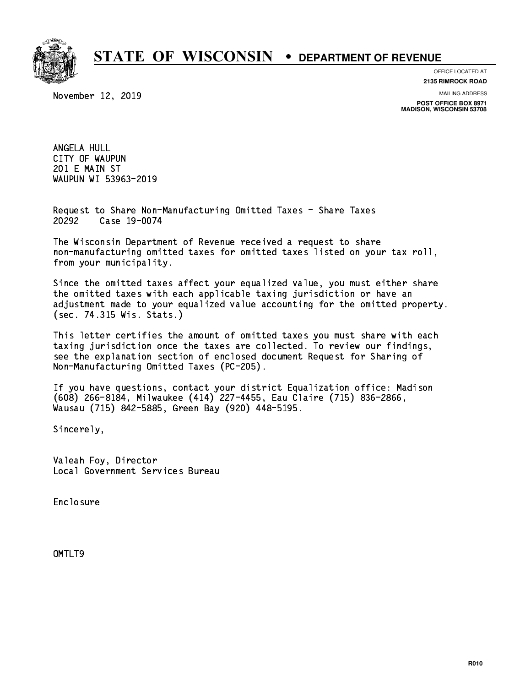

November 12, 2019

**OFFICE LOCATED AT 2135 RIMROCK ROAD**

**MAILING ADDRESS**

**POST OFFICE BOX 8971 MADISON, WISCONSIN 53708**

 ANGELA HULL CITY OF WAUPUN 201 E MAIN ST WAUPUN WI 53963-2019

 Request to Share Non-Manufacturing Omitted Taxes - Share Taxes 20292 Case 19-0074

 The Wisconsin Department of Revenue received a request to share non-manufacturing omitted taxes for omitted taxes listed on your tax roll, from your municipality.

 Since the omitted taxes affect your equalized value, you must either share the omitted taxes with each applicable taxing jurisdiction or have an adjustment made to your equalized value accounting for the omitted property. (sec. 74.315 Wis. Stats.)

 This letter certifies the amount of omitted taxes you must share with each taxing jurisdiction once the taxes are collected. To review our findings, see the explanation section of enclosed document Request for Sharing of Non-Manufacturing Omitted Taxes (PC-205).

 If you have questions, contact your district Equalization office: Madison (608) 266-8184, Milwaukee (414) 227-4455, Eau Claire (715) 836-2866, Wausau (715) 842-5885, Green Bay (920) 448-5195.

Sincerely,

 Valeah Foy, Director Local Government Services Bureau

Enclosure Enclosure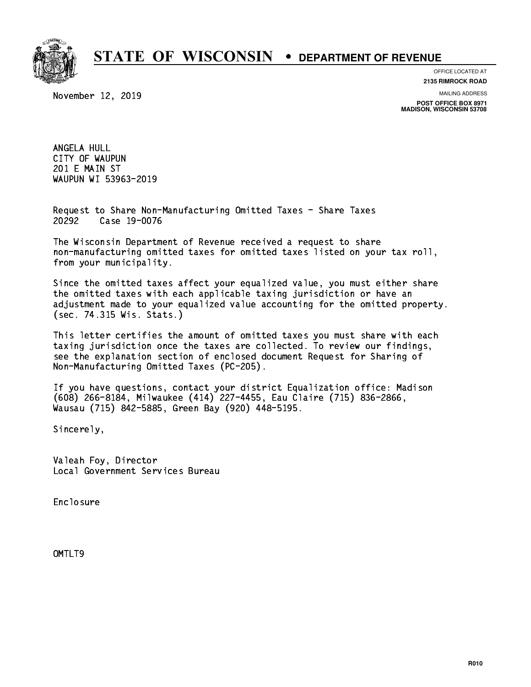

November 12, 2019

**OFFICE LOCATED AT 2135 RIMROCK ROAD**

**MAILING ADDRESS**

**POST OFFICE BOX 8971 MADISON, WISCONSIN 53708**

 ANGELA HULL CITY OF WAUPUN 201 E MAIN ST WAUPUN WI 53963-2019

 Request to Share Non-Manufacturing Omitted Taxes - Share Taxes 20292 Case 19-0076

 The Wisconsin Department of Revenue received a request to share non-manufacturing omitted taxes for omitted taxes listed on your tax roll, from your municipality.

 Since the omitted taxes affect your equalized value, you must either share the omitted taxes with each applicable taxing jurisdiction or have an adjustment made to your equalized value accounting for the omitted property. (sec. 74.315 Wis. Stats.)

 This letter certifies the amount of omitted taxes you must share with each taxing jurisdiction once the taxes are collected. To review our findings, see the explanation section of enclosed document Request for Sharing of Non-Manufacturing Omitted Taxes (PC-205).

 If you have questions, contact your district Equalization office: Madison (608) 266-8184, Milwaukee (414) 227-4455, Eau Claire (715) 836-2866, Wausau (715) 842-5885, Green Bay (920) 448-5195.

Sincerely,

 Valeah Foy, Director Local Government Services Bureau

Enclosure Enclosure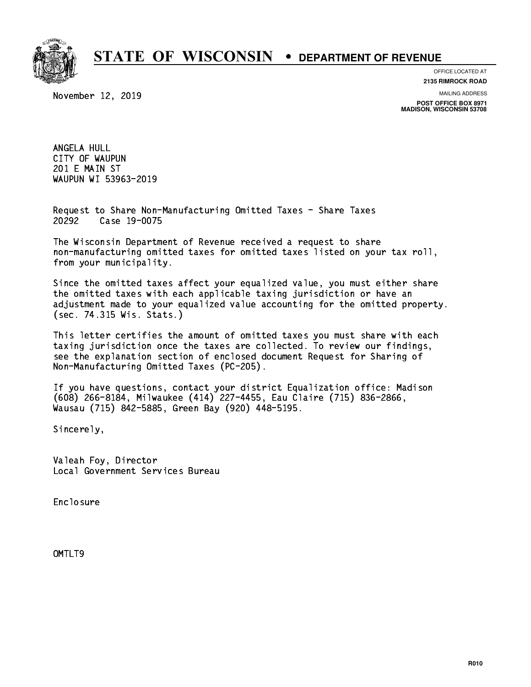

November 12, 2019

**OFFICE LOCATED AT 2135 RIMROCK ROAD**

**MAILING ADDRESS**

**POST OFFICE BOX 8971 MADISON, WISCONSIN 53708**

 ANGELA HULL CITY OF WAUPUN 201 E MAIN ST WAUPUN WI 53963-2019

 Request to Share Non-Manufacturing Omitted Taxes - Share Taxes 20292 Case 19-0075

 The Wisconsin Department of Revenue received a request to share non-manufacturing omitted taxes for omitted taxes listed on your tax roll, from your municipality.

 Since the omitted taxes affect your equalized value, you must either share the omitted taxes with each applicable taxing jurisdiction or have an adjustment made to your equalized value accounting for the omitted property. (sec. 74.315 Wis. Stats.)

 This letter certifies the amount of omitted taxes you must share with each taxing jurisdiction once the taxes are collected. To review our findings, see the explanation section of enclosed document Request for Sharing of Non-Manufacturing Omitted Taxes (PC-205).

 If you have questions, contact your district Equalization office: Madison (608) 266-8184, Milwaukee (414) 227-4455, Eau Claire (715) 836-2866, Wausau (715) 842-5885, Green Bay (920) 448-5195.

Sincerely,

 Valeah Foy, Director Local Government Services Bureau

Enclosure Enclosure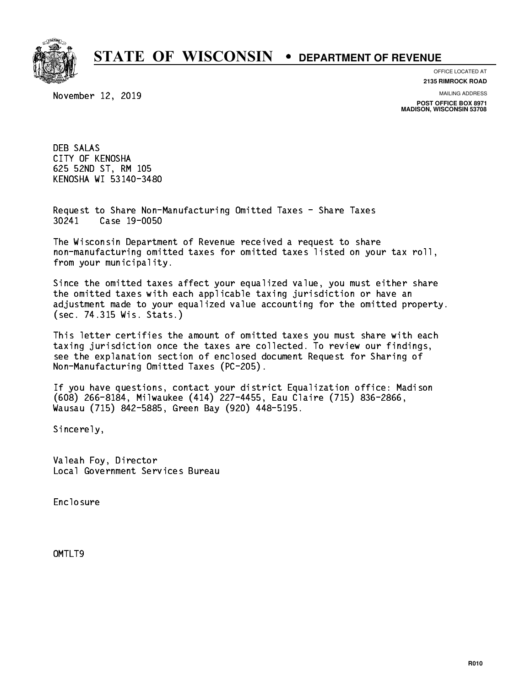

**OFFICE LOCATED AT**

November 12, 2019

**2135 RIMROCK ROAD**

**MAILING ADDRESS POST OFFICE BOX 8971 MADISON, WISCONSIN 53708**

 DEB SALAS CITY OF KENOSHA 625 52ND ST, RM 105 KENOSHA WI 53140-3480

 Request to Share Non-Manufacturing Omitted Taxes - Share Taxes 30241 Case 19-0050

 The Wisconsin Department of Revenue received a request to share non-manufacturing omitted taxes for omitted taxes listed on your tax roll, from your municipality.

 Since the omitted taxes affect your equalized value, you must either share the omitted taxes with each applicable taxing jurisdiction or have an adjustment made to your equalized value accounting for the omitted property. (sec. 74.315 Wis. Stats.)

 This letter certifies the amount of omitted taxes you must share with each taxing jurisdiction once the taxes are collected. To review our findings, see the explanation section of enclosed document Request for Sharing of Non-Manufacturing Omitted Taxes (PC-205).

 If you have questions, contact your district Equalization office: Madison (608) 266-8184, Milwaukee (414) 227-4455, Eau Claire (715) 836-2866, Wausau (715) 842-5885, Green Bay (920) 448-5195.

Sincerely,

 Valeah Foy, Director Local Government Services Bureau

Enclosure Enclosure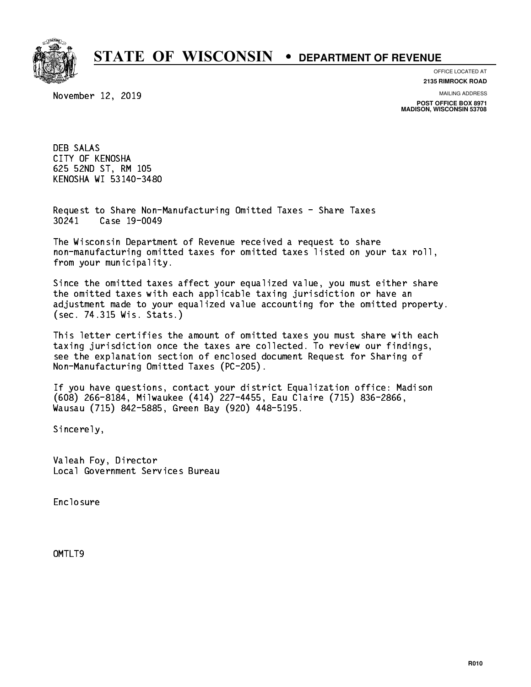

**OFFICE LOCATED AT**

November 12, 2019

**2135 RIMROCK ROAD**

**MAILING ADDRESS POST OFFICE BOX 8971 MADISON, WISCONSIN 53708**

 DEB SALAS CITY OF KENOSHA 625 52ND ST, RM 105 KENOSHA WI 53140-3480

 Request to Share Non-Manufacturing Omitted Taxes - Share Taxes 30241 Case 19-0049

 The Wisconsin Department of Revenue received a request to share non-manufacturing omitted taxes for omitted taxes listed on your tax roll, from your municipality.

 Since the omitted taxes affect your equalized value, you must either share the omitted taxes with each applicable taxing jurisdiction or have an adjustment made to your equalized value accounting for the omitted property. (sec. 74.315 Wis. Stats.)

 This letter certifies the amount of omitted taxes you must share with each taxing jurisdiction once the taxes are collected. To review our findings, see the explanation section of enclosed document Request for Sharing of Non-Manufacturing Omitted Taxes (PC-205).

 If you have questions, contact your district Equalization office: Madison (608) 266-8184, Milwaukee (414) 227-4455, Eau Claire (715) 836-2866, Wausau (715) 842-5885, Green Bay (920) 448-5195.

Sincerely,

 Valeah Foy, Director Local Government Services Bureau

Enclosure Enclosure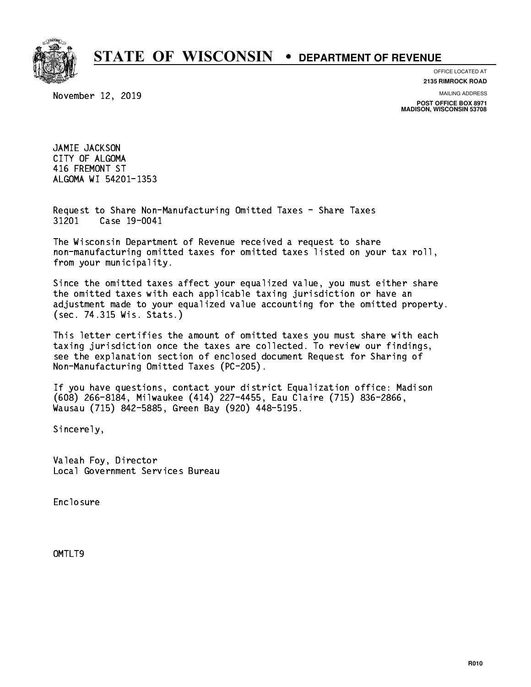

**OFFICE LOCATED AT**

November 12, 2019

**2135 RIMROCK ROAD**

**MAILING ADDRESS**

**POST OFFICE BOX 8971 MADISON, WISCONSIN 53708**

 JAMIE JACKSON CITY OF ALGOMA 416 FREMONT ST ALGOMA WI 54201-1353 ALGOMA WI 54201-1353

 Request to Share Non-Manufacturing Omitted Taxes - Share Taxes 31201 Case 19-0041

 The Wisconsin Department of Revenue received a request to share non-manufacturing omitted taxes for omitted taxes listed on your tax roll, from your municipality.

 Since the omitted taxes affect your equalized value, you must either share the omitted taxes with each applicable taxing jurisdiction or have an adjustment made to your equalized value accounting for the omitted property. (sec. 74.315 Wis. Stats.)

 This letter certifies the amount of omitted taxes you must share with each taxing jurisdiction once the taxes are collected. To review our findings, see the explanation section of enclosed document Request for Sharing of Non-Manufacturing Omitted Taxes (PC-205).

 If you have questions, contact your district Equalization office: Madison (608) 266-8184, Milwaukee (414) 227-4455, Eau Claire (715) 836-2866, Wausau (715) 842-5885, Green Bay (920) 448-5195.

Sincerely,

 Valeah Foy, Director Local Government Services Bureau

Enclosure Enclosure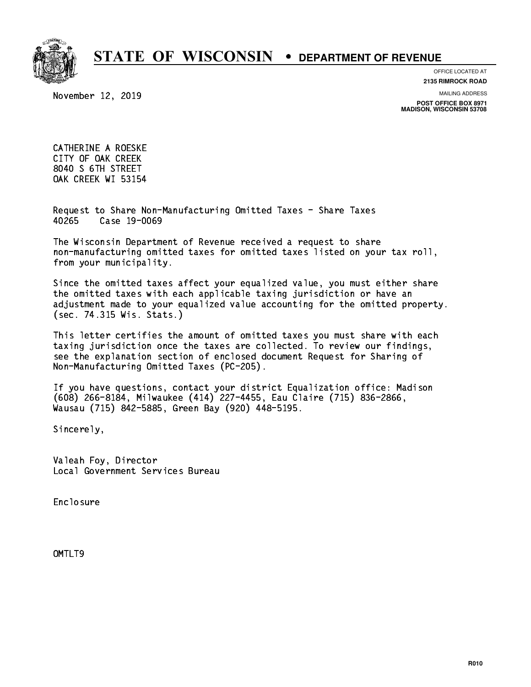

**OFFICE LOCATED AT**

**2135 RIMROCK ROAD**

November 12, 2019

**MAILING ADDRESS**

**POST OFFICE BOX 8971 MADISON, WISCONSIN 53708**

 CATHERINE A ROESKE CITY OF OAK CREEK 8040 S 6TH STREET OAK CREEK WI 53154

 Request to Share Non-Manufacturing Omitted Taxes - Share Taxes 40265 Case 19-0069

 The Wisconsin Department of Revenue received a request to share non-manufacturing omitted taxes for omitted taxes listed on your tax roll, from your municipality.

 Since the omitted taxes affect your equalized value, you must either share the omitted taxes with each applicable taxing jurisdiction or have an adjustment made to your equalized value accounting for the omitted property. (sec. 74.315 Wis. Stats.)

 This letter certifies the amount of omitted taxes you must share with each taxing jurisdiction once the taxes are collected. To review our findings, see the explanation section of enclosed document Request for Sharing of Non-Manufacturing Omitted Taxes (PC-205).

 If you have questions, contact your district Equalization office: Madison (608) 266-8184, Milwaukee (414) 227-4455, Eau Claire (715) 836-2866, Wausau (715) 842-5885, Green Bay (920) 448-5195.

Sincerely,

 Valeah Foy, Director Local Government Services Bureau

Enclosure Enclosure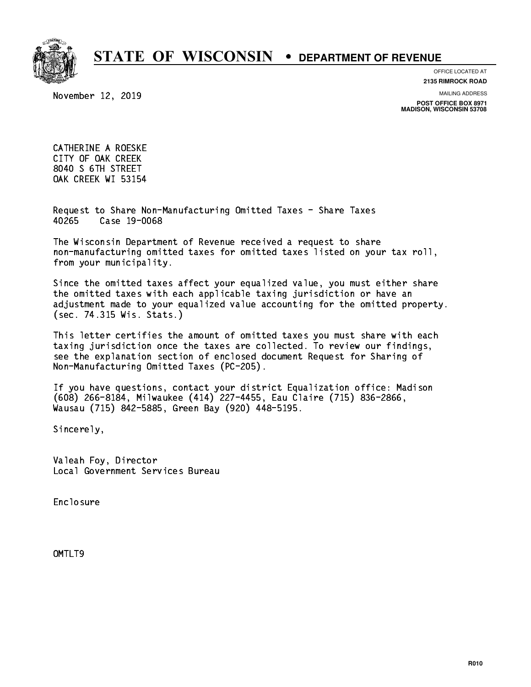

**OFFICE LOCATED AT**

**2135 RIMROCK ROAD**

November 12, 2019

**MAILING ADDRESS**

**POST OFFICE BOX 8971 MADISON, WISCONSIN 53708**

 CATHERINE A ROESKE CITY OF OAK CREEK 8040 S 6TH STREET OAK CREEK WI 53154

 Request to Share Non-Manufacturing Omitted Taxes - Share Taxes 40265 Case 19-0068

 The Wisconsin Department of Revenue received a request to share non-manufacturing omitted taxes for omitted taxes listed on your tax roll, from your municipality.

 Since the omitted taxes affect your equalized value, you must either share the omitted taxes with each applicable taxing jurisdiction or have an adjustment made to your equalized value accounting for the omitted property. (sec. 74.315 Wis. Stats.)

 This letter certifies the amount of omitted taxes you must share with each taxing jurisdiction once the taxes are collected. To review our findings, see the explanation section of enclosed document Request for Sharing of Non-Manufacturing Omitted Taxes (PC-205).

 If you have questions, contact your district Equalization office: Madison (608) 266-8184, Milwaukee (414) 227-4455, Eau Claire (715) 836-2866, Wausau (715) 842-5885, Green Bay (920) 448-5195.

Sincerely,

 Valeah Foy, Director Local Government Services Bureau

Enclosure Enclosure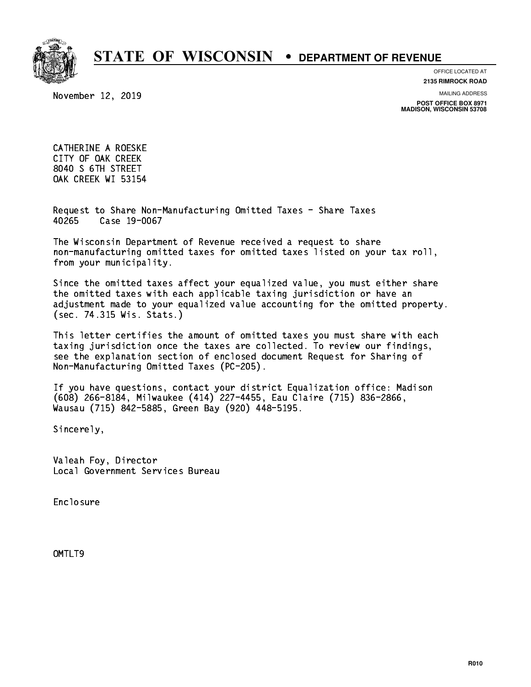

**OFFICE LOCATED AT**

**2135 RIMROCK ROAD**

November 12, 2019

**MAILING ADDRESS**

**POST OFFICE BOX 8971 MADISON, WISCONSIN 53708**

 CATHERINE A ROESKE CITY OF OAK CREEK 8040 S 6TH STREET OAK CREEK WI 53154

 Request to Share Non-Manufacturing Omitted Taxes - Share Taxes 40265 Case 19-0067

 The Wisconsin Department of Revenue received a request to share non-manufacturing omitted taxes for omitted taxes listed on your tax roll, from your municipality.

 Since the omitted taxes affect your equalized value, you must either share the omitted taxes with each applicable taxing jurisdiction or have an adjustment made to your equalized value accounting for the omitted property. (sec. 74.315 Wis. Stats.)

 This letter certifies the amount of omitted taxes you must share with each taxing jurisdiction once the taxes are collected. To review our findings, see the explanation section of enclosed document Request for Sharing of Non-Manufacturing Omitted Taxes (PC-205).

 If you have questions, contact your district Equalization office: Madison (608) 266-8184, Milwaukee (414) 227-4455, Eau Claire (715) 836-2866, Wausau (715) 842-5885, Green Bay (920) 448-5195.

Sincerely,

 Valeah Foy, Director Local Government Services Bureau

Enclosure Enclosure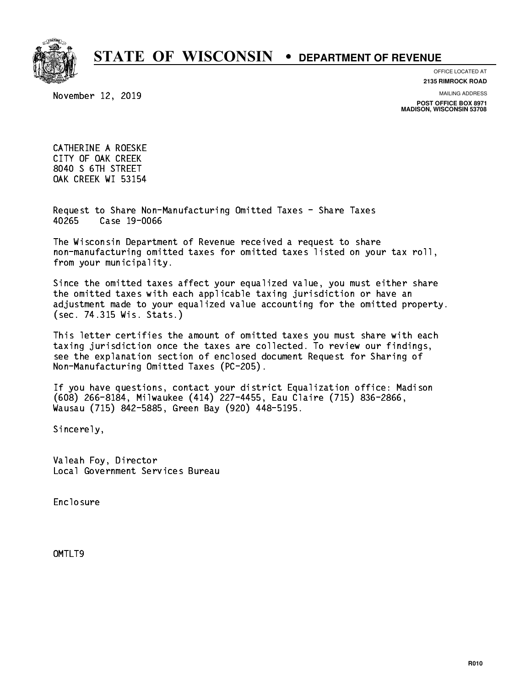

**OFFICE LOCATED AT**

November 12, 2019

**2135 RIMROCK ROAD**

**MAILING ADDRESS**

**POST OFFICE BOX 8971 MADISON, WISCONSIN 53708**

 CATHERINE A ROESKE CITY OF OAK CREEK 8040 S 6TH STREET OAK CREEK WI 53154

 Request to Share Non-Manufacturing Omitted Taxes - Share Taxes 40265 Case 19-0066

 The Wisconsin Department of Revenue received a request to share non-manufacturing omitted taxes for omitted taxes listed on your tax roll, from your municipality.

 Since the omitted taxes affect your equalized value, you must either share the omitted taxes with each applicable taxing jurisdiction or have an adjustment made to your equalized value accounting for the omitted property. (sec. 74.315 Wis. Stats.)

 This letter certifies the amount of omitted taxes you must share with each taxing jurisdiction once the taxes are collected. To review our findings, see the explanation section of enclosed document Request for Sharing of Non-Manufacturing Omitted Taxes (PC-205).

 If you have questions, contact your district Equalization office: Madison (608) 266-8184, Milwaukee (414) 227-4455, Eau Claire (715) 836-2866, Wausau (715) 842-5885, Green Bay (920) 448-5195.

Sincerely,

 Valeah Foy, Director Local Government Services Bureau

Enclosure Enclosure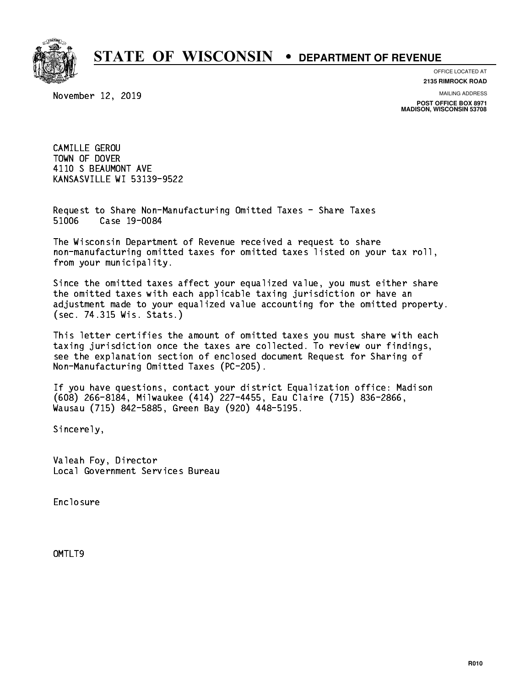

**OFFICE LOCATED AT**

November 12, 2019

**2135 RIMROCK ROAD**

**MAILING ADDRESS**

**POST OFFICE BOX 8971 MADISON, WISCONSIN 53708**

 CAMILLE GEROU TOWN OF DOVER 4110 S BEAUMONT AVE KANSASVILLE WI 53139-9522

 Request to Share Non-Manufacturing Omitted Taxes - Share Taxes 51006 Case 19-0084

 The Wisconsin Department of Revenue received a request to share non-manufacturing omitted taxes for omitted taxes listed on your tax roll, from your municipality.

 Since the omitted taxes affect your equalized value, you must either share the omitted taxes with each applicable taxing jurisdiction or have an adjustment made to your equalized value accounting for the omitted property. (sec. 74.315 Wis. Stats.)

 This letter certifies the amount of omitted taxes you must share with each taxing jurisdiction once the taxes are collected. To review our findings, see the explanation section of enclosed document Request for Sharing of Non-Manufacturing Omitted Taxes (PC-205).

 If you have questions, contact your district Equalization office: Madison (608) 266-8184, Milwaukee (414) 227-4455, Eau Claire (715) 836-2866, Wausau (715) 842-5885, Green Bay (920) 448-5195.

Sincerely,

 Valeah Foy, Director Local Government Services Bureau

Enclosure Enclosure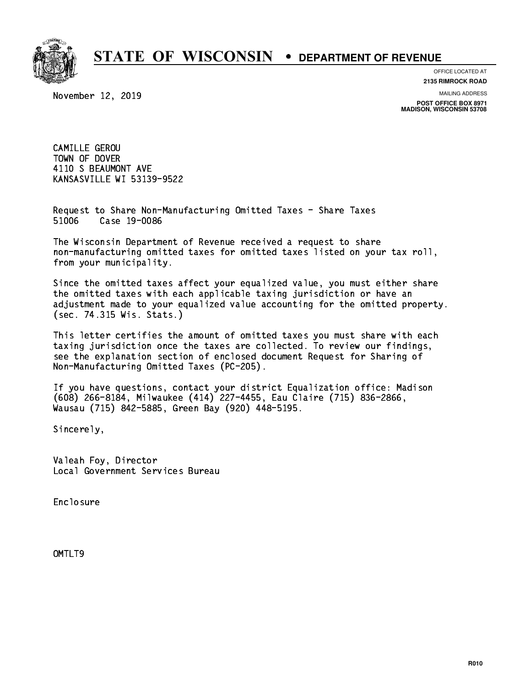

**OFFICE LOCATED AT**

November 12, 2019

**2135 RIMROCK ROAD**

**MAILING ADDRESS POST OFFICE BOX 8971 MADISON, WISCONSIN 53708**

 CAMILLE GEROU TOWN OF DOVER 4110 S BEAUMONT AVE KANSASVILLE WI 53139-9522

 Request to Share Non-Manufacturing Omitted Taxes - Share Taxes 51006 Case 19-0086

 The Wisconsin Department of Revenue received a request to share non-manufacturing omitted taxes for omitted taxes listed on your tax roll, from your municipality.

 Since the omitted taxes affect your equalized value, you must either share the omitted taxes with each applicable taxing jurisdiction or have an adjustment made to your equalized value accounting for the omitted property. (sec. 74.315 Wis. Stats.)

 This letter certifies the amount of omitted taxes you must share with each taxing jurisdiction once the taxes are collected. To review our findings, see the explanation section of enclosed document Request for Sharing of Non-Manufacturing Omitted Taxes (PC-205).

 If you have questions, contact your district Equalization office: Madison (608) 266-8184, Milwaukee (414) 227-4455, Eau Claire (715) 836-2866, Wausau (715) 842-5885, Green Bay (920) 448-5195.

Sincerely,

 Valeah Foy, Director Local Government Services Bureau

Enclosure Enclosure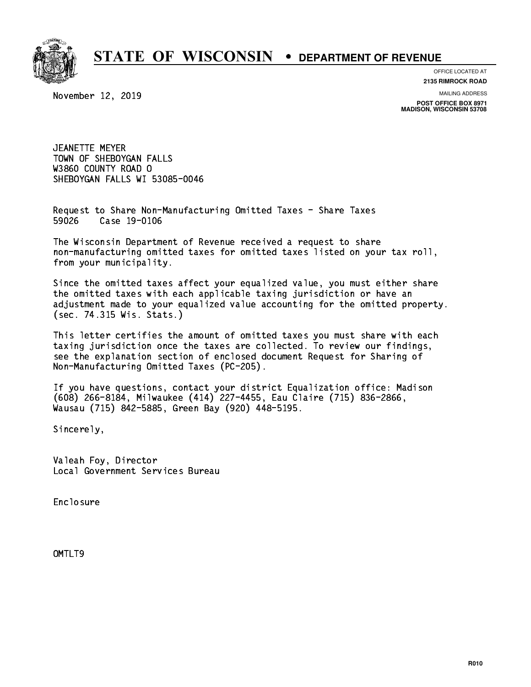

**OFFICE LOCATED AT**

November 12, 2019

**2135 RIMROCK ROAD**

**MAILING ADDRESS POST OFFICE BOX 8971 MADISON, WISCONSIN 53708**

 JEANETTE MEYER TOWN OF SHEBOYGAN FALLS W3860 COUNTY ROAD O SHEBOYGAN FALLS WI 53085-0046 SHEBOYGAN FALLS WI 53085-0046

 Request to Share Non-Manufacturing Omitted Taxes - Share Taxes Case 19-0106 59026

 The Wisconsin Department of Revenue received a request to share non-manufacturing omitted taxes for omitted taxes listed on your tax roll, from your municipality.

 Since the omitted taxes affect your equalized value, you must either share the omitted taxes with each applicable taxing jurisdiction or have an adjustment made to your equalized value accounting for the omitted property. (sec. 74.315 Wis. Stats.)

 This letter certifies the amount of omitted taxes you must share with each taxing jurisdiction once the taxes are collected. To review our findings, see the explanation section of enclosed document Request for Sharing of Non-Manufacturing Omitted Taxes (PC-205).

 If you have questions, contact your district Equalization office: Madison (608) 266-8184, Milwaukee (414) 227-4455, Eau Claire (715) 836-2866, Wausau (715) 842-5885, Green Bay (920) 448-5195.

Sincerely,

 Valeah Foy, Director Local Government Services Bureau

Enclosure Enclosure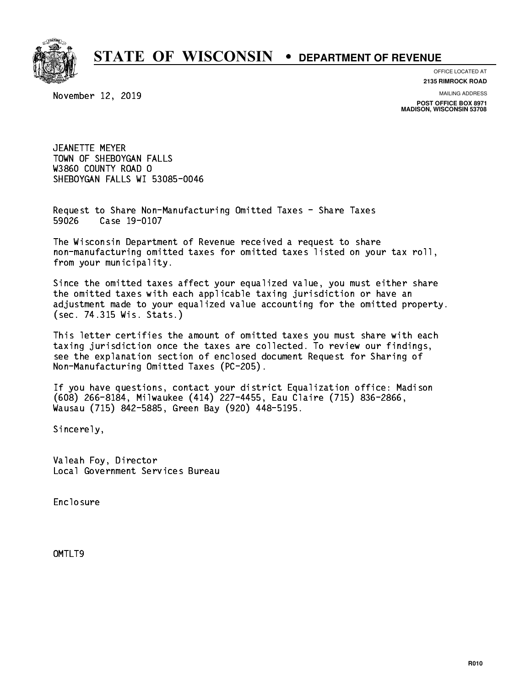

**OFFICE LOCATED AT**

November 12, 2019

**2135 RIMROCK ROAD**

**MAILING ADDRESS POST OFFICE BOX 8971 MADISON, WISCONSIN 53708**

 JEANETTE MEYER TOWN OF SHEBOYGAN FALLS W3860 COUNTY ROAD O SHEBOYGAN FALLS WI 53085-0046 SHEBOYGAN FALLS WI 53085-0046

 Request to Share Non-Manufacturing Omitted Taxes - Share Taxes 59026 Case 19-0107

 The Wisconsin Department of Revenue received a request to share non-manufacturing omitted taxes for omitted taxes listed on your tax roll, from your municipality.

 Since the omitted taxes affect your equalized value, you must either share the omitted taxes with each applicable taxing jurisdiction or have an adjustment made to your equalized value accounting for the omitted property. (sec. 74.315 Wis. Stats.)

 This letter certifies the amount of omitted taxes you must share with each taxing jurisdiction once the taxes are collected. To review our findings, see the explanation section of enclosed document Request for Sharing of Non-Manufacturing Omitted Taxes (PC-205).

 If you have questions, contact your district Equalization office: Madison (608) 266-8184, Milwaukee (414) 227-4455, Eau Claire (715) 836-2866, Wausau (715) 842-5885, Green Bay (920) 448-5195.

Sincerely,

 Valeah Foy, Director Local Government Services Bureau

Enclosure Enclosure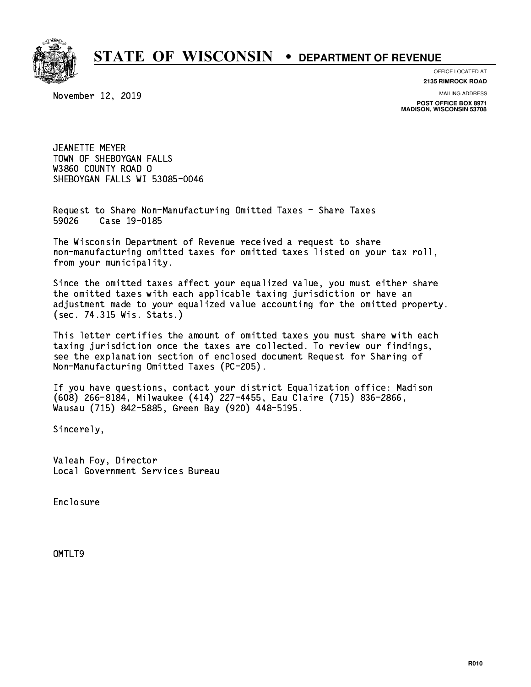

**OFFICE LOCATED AT**

November 12, 2019

**2135 RIMROCK ROAD**

**MAILING ADDRESS POST OFFICE BOX 8971 MADISON, WISCONSIN 53708**

 JEANETTE MEYER TOWN OF SHEBOYGAN FALLS W3860 COUNTY ROAD O SHEBOYGAN FALLS WI 53085-0046 SHEBOYGAN FALLS WI 53085-0046

 Request to Share Non-Manufacturing Omitted Taxes - Share Taxes 59026 Case 19-0185

 The Wisconsin Department of Revenue received a request to share non-manufacturing omitted taxes for omitted taxes listed on your tax roll, from your municipality.

 Since the omitted taxes affect your equalized value, you must either share the omitted taxes with each applicable taxing jurisdiction or have an adjustment made to your equalized value accounting for the omitted property. (sec. 74.315 Wis. Stats.)

 This letter certifies the amount of omitted taxes you must share with each taxing jurisdiction once the taxes are collected. To review our findings, see the explanation section of enclosed document Request for Sharing of Non-Manufacturing Omitted Taxes (PC-205).

 If you have questions, contact your district Equalization office: Madison (608) 266-8184, Milwaukee (414) 227-4455, Eau Claire (715) 836-2866, Wausau (715) 842-5885, Green Bay (920) 448-5195.

Sincerely,

 Valeah Foy, Director Local Government Services Bureau

Enclosure Enclosure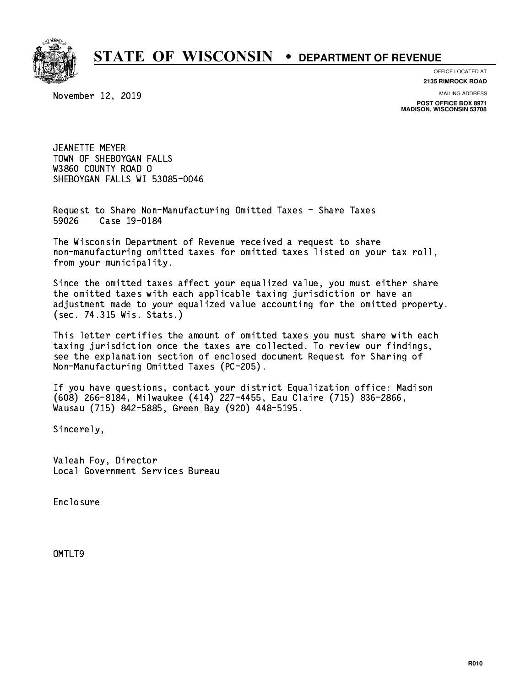

**OFFICE LOCATED AT**

November 12, 2019

**2135 RIMROCK ROAD**

**MAILING ADDRESS POST OFFICE BOX 8971 MADISON, WISCONSIN 53708**

 JEANETTE MEYER TOWN OF SHEBOYGAN FALLS W3860 COUNTY ROAD O SHEBOYGAN FALLS WI 53085-0046 SHEBOYGAN FALLS WI 53085-0046

 Request to Share Non-Manufacturing Omitted Taxes - Share Taxes Case 19-0184 59026

 The Wisconsin Department of Revenue received a request to share non-manufacturing omitted taxes for omitted taxes listed on your tax roll, from your municipality.

 Since the omitted taxes affect your equalized value, you must either share the omitted taxes with each applicable taxing jurisdiction or have an adjustment made to your equalized value accounting for the omitted property. (sec. 74.315 Wis. Stats.)

 This letter certifies the amount of omitted taxes you must share with each taxing jurisdiction once the taxes are collected. To review our findings, see the explanation section of enclosed document Request for Sharing of Non-Manufacturing Omitted Taxes (PC-205).

 If you have questions, contact your district Equalization office: Madison (608) 266-8184, Milwaukee (414) 227-4455, Eau Claire (715) 836-2866, Wausau (715) 842-5885, Green Bay (920) 448-5195.

Sincerely,

 Valeah Foy, Director Local Government Services Bureau

Enclosure Enclosure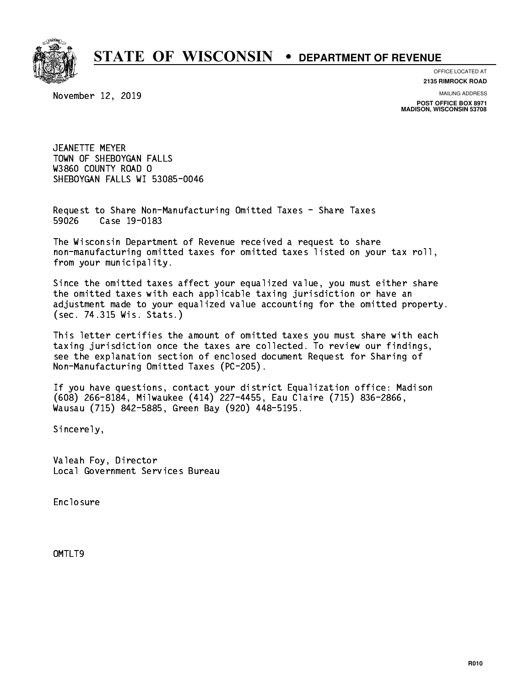

**OFFICE LOCATED AT**

November 12, 2019

**2135 RIMROCK ROAD**

**MAILING ADDRESS POST OFFICE BOX 8971 MADISON, WISCONSIN 53708**

 JEANETTE MEYER TOWN OF SHEBOYGAN FALLS W3860 COUNTY ROAD O SHEBOYGAN FALLS WI 53085-0046 SHEBOYGAN FALLS WI 53085-0046

 Request to Share Non-Manufacturing Omitted Taxes - Share Taxes Case 19-0183 59026

 The Wisconsin Department of Revenue received a request to share non-manufacturing omitted taxes for omitted taxes listed on your tax roll, from your municipality.

 Since the omitted taxes affect your equalized value, you must either share the omitted taxes with each applicable taxing jurisdiction or have an adjustment made to your equalized value accounting for the omitted property. (sec. 74.315 Wis. Stats.)

 This letter certifies the amount of omitted taxes you must share with each taxing jurisdiction once the taxes are collected. To review our findings, see the explanation section of enclosed document Request for Sharing of Non-Manufacturing Omitted Taxes (PC-205).

 If you have questions, contact your district Equalization office: Madison (608) 266-8184, Milwaukee (414) 227-4455, Eau Claire (715) 836-2866, Wausau (715) 842-5885, Green Bay (920) 448-5195.

Sincerely,

 Valeah Foy, Director Local Government Services Bureau

Enclosure Enclosure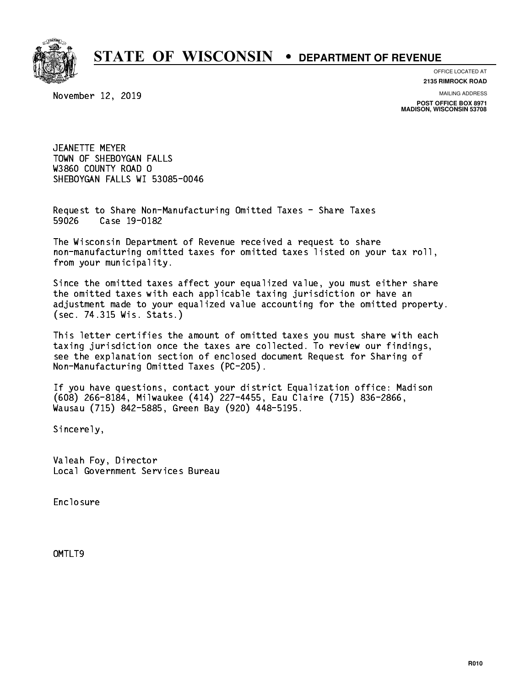

**OFFICE LOCATED AT**

November 12, 2019

**2135 RIMROCK ROAD**

**MAILING ADDRESS POST OFFICE BOX 8971 MADISON, WISCONSIN 53708**

 JEANETTE MEYER TOWN OF SHEBOYGAN FALLS W3860 COUNTY ROAD O SHEBOYGAN FALLS WI 53085-0046 SHEBOYGAN FALLS WI 53085-0046

 Request to Share Non-Manufacturing Omitted Taxes - Share Taxes Case 19-0182 59026

 The Wisconsin Department of Revenue received a request to share non-manufacturing omitted taxes for omitted taxes listed on your tax roll, from your municipality.

 Since the omitted taxes affect your equalized value, you must either share the omitted taxes with each applicable taxing jurisdiction or have an adjustment made to your equalized value accounting for the omitted property. (sec. 74.315 Wis. Stats.)

 This letter certifies the amount of omitted taxes you must share with each taxing jurisdiction once the taxes are collected. To review our findings, see the explanation section of enclosed document Request for Sharing of Non-Manufacturing Omitted Taxes (PC-205).

 If you have questions, contact your district Equalization office: Madison (608) 266-8184, Milwaukee (414) 227-4455, Eau Claire (715) 836-2866, Wausau (715) 842-5885, Green Bay (920) 448-5195.

Sincerely,

 Valeah Foy, Director Local Government Services Bureau

Enclosure Enclosure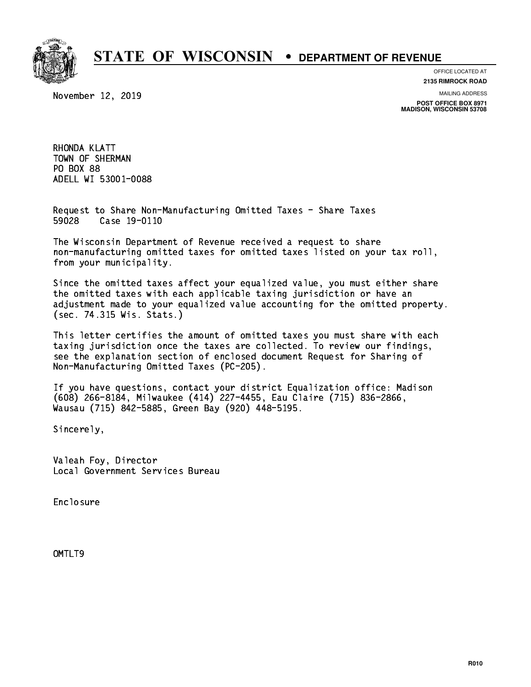

**OFFICE LOCATED AT**

November 12, 2019

**2135 RIMROCK ROAD**

**MAILING ADDRESS**

**POST OFFICE BOX 8971 MADISON, WISCONSIN 53708**

 RHONDA KLATT TOWN OF SHERMAN PO BOX 88 PO BOX 88 ADELL WI 53001-0088 ADELL WI 53001-0088

 Request to Share Non-Manufacturing Omitted Taxes - Share Taxes 59028 Case 19-0110

 The Wisconsin Department of Revenue received a request to share non-manufacturing omitted taxes for omitted taxes listed on your tax roll, from your municipality.

 Since the omitted taxes affect your equalized value, you must either share the omitted taxes with each applicable taxing jurisdiction or have an adjustment made to your equalized value accounting for the omitted property. (sec. 74.315 Wis. Stats.)

 This letter certifies the amount of omitted taxes you must share with each taxing jurisdiction once the taxes are collected. To review our findings, see the explanation section of enclosed document Request for Sharing of Non-Manufacturing Omitted Taxes (PC-205).

 If you have questions, contact your district Equalization office: Madison (608) 266-8184, Milwaukee (414) 227-4455, Eau Claire (715) 836-2866, Wausau (715) 842-5885, Green Bay (920) 448-5195.

Sincerely,

 Valeah Foy, Director Local Government Services Bureau

Enclosure Enclosure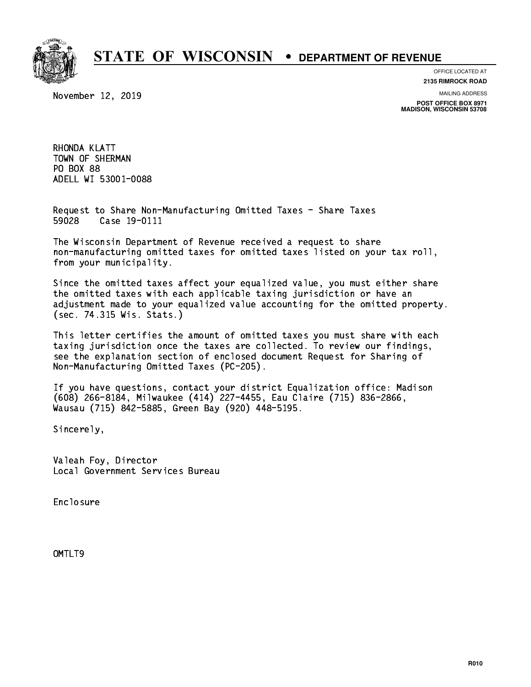

November 12, 2019

**OFFICE LOCATED AT**

**2135 RIMROCK ROAD**

**MAILING ADDRESS POST OFFICE BOX 8971 MADISON, WISCONSIN 53708**

 RHONDA KLATT TOWN OF SHERMAN PO BOX 88 PO BOX 88 ADELL WI 53001-0088 ADELL WI 53001-0088

 Request to Share Non-Manufacturing Omitted Taxes - Share Taxes 59028 Case 19-0111

 The Wisconsin Department of Revenue received a request to share non-manufacturing omitted taxes for omitted taxes listed on your tax roll, from your municipality.

 Since the omitted taxes affect your equalized value, you must either share the omitted taxes with each applicable taxing jurisdiction or have an adjustment made to your equalized value accounting for the omitted property. (sec. 74.315 Wis. Stats.)

 This letter certifies the amount of omitted taxes you must share with each taxing jurisdiction once the taxes are collected. To review our findings, see the explanation section of enclosed document Request for Sharing of Non-Manufacturing Omitted Taxes (PC-205).

 If you have questions, contact your district Equalization office: Madison (608) 266-8184, Milwaukee (414) 227-4455, Eau Claire (715) 836-2866, Wausau (715) 842-5885, Green Bay (920) 448-5195.

Sincerely,

 Valeah Foy, Director Local Government Services Bureau

Enclosure Enclosure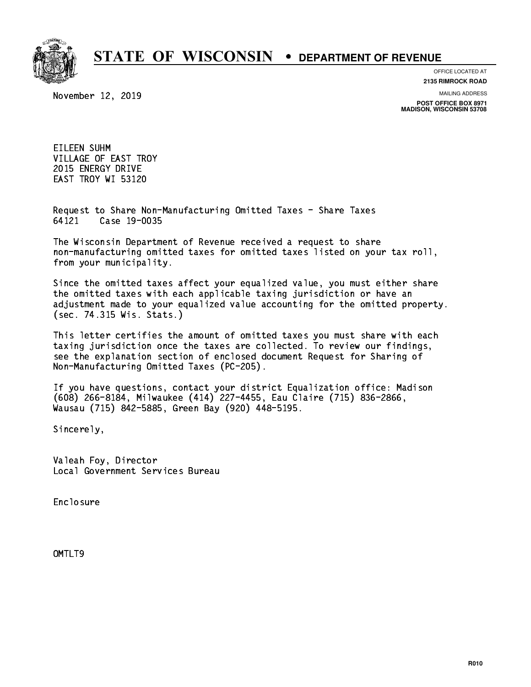

**OFFICE LOCATED AT**

**2135 RIMROCK ROAD**

November 12, 2019

**MAILING ADDRESS**

**POST OFFICE BOX 8971 MADISON, WISCONSIN 53708**

 EILEEN SUHM VILLAGE OF EAST TROY 2015 ENERGY DRIVE EAST TROY WI 53120

 Request to Share Non-Manufacturing Omitted Taxes - Share Taxes 64121 Case 19-0035

 The Wisconsin Department of Revenue received a request to share non-manufacturing omitted taxes for omitted taxes listed on your tax roll, from your municipality.

 Since the omitted taxes affect your equalized value, you must either share the omitted taxes with each applicable taxing jurisdiction or have an adjustment made to your equalized value accounting for the omitted property. (sec. 74.315 Wis. Stats.)

 This letter certifies the amount of omitted taxes you must share with each taxing jurisdiction once the taxes are collected. To review our findings, see the explanation section of enclosed document Request for Sharing of Non-Manufacturing Omitted Taxes (PC-205).

 If you have questions, contact your district Equalization office: Madison (608) 266-8184, Milwaukee (414) 227-4455, Eau Claire (715) 836-2866, Wausau (715) 842-5885, Green Bay (920) 448-5195.

Sincerely,

 Valeah Foy, Director Local Government Services Bureau

Enclosure Enclosure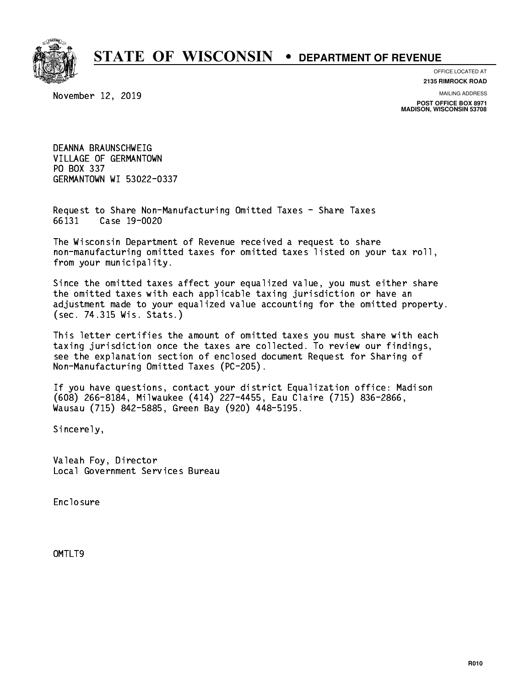

**OFFICE LOCATED AT**

November 12, 2019

**2135 RIMROCK ROAD**

**MAILING ADDRESS POST OFFICE BOX 8971 MADISON, WISCONSIN 53708**

 DEANNA BRAUNSCHWEIG VILLAGE OF GERMANTOWN PO BOX 337 GERMANTOWN WI 53022-0337

 Request to Share Non-Manufacturing Omitted Taxes - Share Taxes 66131 Case 19-0020

 The Wisconsin Department of Revenue received a request to share non-manufacturing omitted taxes for omitted taxes listed on your tax roll, from your municipality.

 Since the omitted taxes affect your equalized value, you must either share the omitted taxes with each applicable taxing jurisdiction or have an adjustment made to your equalized value accounting for the omitted property. (sec. 74.315 Wis. Stats.)

 This letter certifies the amount of omitted taxes you must share with each taxing jurisdiction once the taxes are collected. To review our findings, see the explanation section of enclosed document Request for Sharing of Non-Manufacturing Omitted Taxes (PC-205).

 If you have questions, contact your district Equalization office: Madison (608) 266-8184, Milwaukee (414) 227-4455, Eau Claire (715) 836-2866, Wausau (715) 842-5885, Green Bay (920) 448-5195.

Sincerely,

 Valeah Foy, Director Local Government Services Bureau

Enclosure Enclosure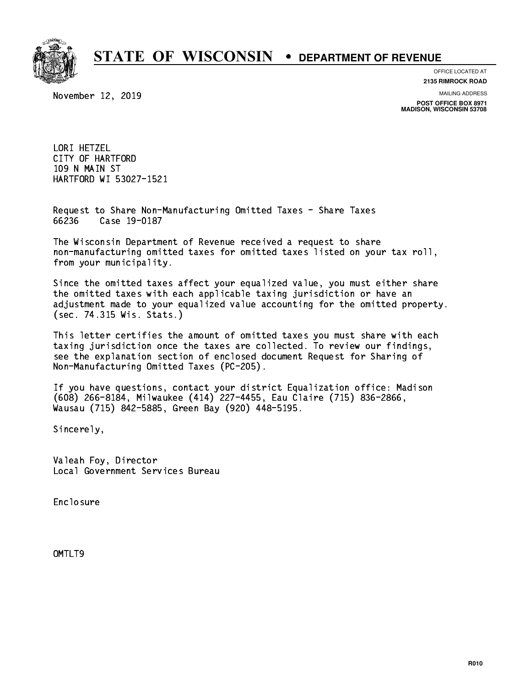

**OFFICE LOCATED AT**

November 12, 2019

**2135 RIMROCK ROAD**

**MAILING ADDRESS POST OFFICE BOX 8971 MADISON, WISCONSIN 53708**

 LORI HETZEL CITY OF HARTFORD 109 N MAIN ST HARTFORD WI 53027-1521

 Request to Share Non-Manufacturing Omitted Taxes - Share Taxes 66236 Case 19-0187

 The Wisconsin Department of Revenue received a request to share non-manufacturing omitted taxes for omitted taxes listed on your tax roll, from your municipality.

 Since the omitted taxes affect your equalized value, you must either share the omitted taxes with each applicable taxing jurisdiction or have an adjustment made to your equalized value accounting for the omitted property. (sec. 74.315 Wis. Stats.)

 This letter certifies the amount of omitted taxes you must share with each taxing jurisdiction once the taxes are collected. To review our findings, see the explanation section of enclosed document Request for Sharing of Non-Manufacturing Omitted Taxes (PC-205).

 If you have questions, contact your district Equalization office: Madison (608) 266-8184, Milwaukee (414) 227-4455, Eau Claire (715) 836-2866, Wausau (715) 842-5885, Green Bay (920) 448-5195.

Sincerely,

 Valeah Foy, Director Local Government Services Bureau

Enclosure Enclosure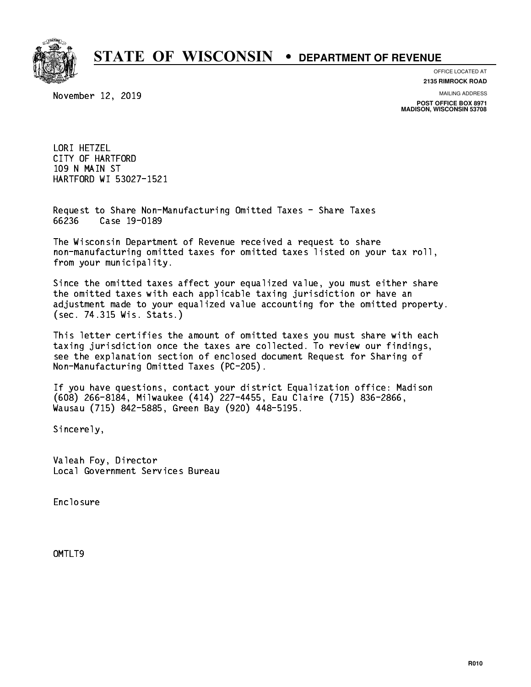

**OFFICE LOCATED AT**

November 12, 2019

**2135 RIMROCK ROAD**

**MAILING ADDRESS**

**POST OFFICE BOX 8971 MADISON, WISCONSIN 53708**

 LORI HETZEL CITY OF HARTFORD 109 N MAIN ST HARTFORD WI 53027-1521

 Request to Share Non-Manufacturing Omitted Taxes - Share Taxes 66236 Case 19-0189

 The Wisconsin Department of Revenue received a request to share non-manufacturing omitted taxes for omitted taxes listed on your tax roll, from your municipality.

 Since the omitted taxes affect your equalized value, you must either share the omitted taxes with each applicable taxing jurisdiction or have an adjustment made to your equalized value accounting for the omitted property. (sec. 74.315 Wis. Stats.)

 This letter certifies the amount of omitted taxes you must share with each taxing jurisdiction once the taxes are collected. To review our findings, see the explanation section of enclosed document Request for Sharing of Non-Manufacturing Omitted Taxes (PC-205).

 If you have questions, contact your district Equalization office: Madison (608) 266-8184, Milwaukee (414) 227-4455, Eau Claire (715) 836-2866, Wausau (715) 842-5885, Green Bay (920) 448-5195.

Sincerely,

 Valeah Foy, Director Local Government Services Bureau

Enclosure Enclosure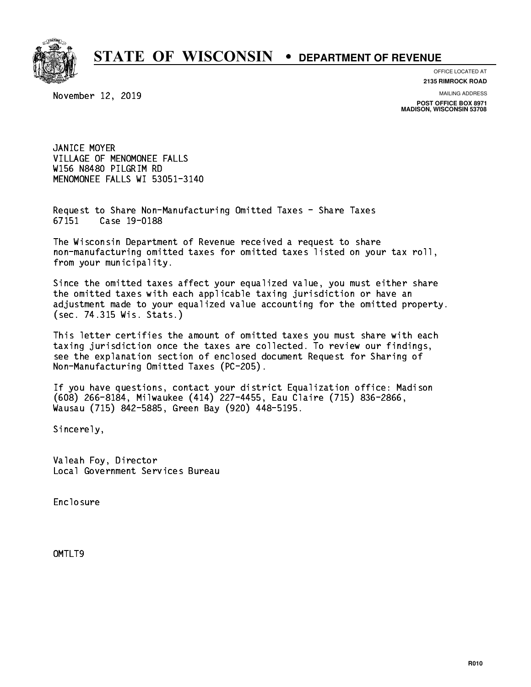

**OFFICE LOCATED AT**

**2135 RIMROCK ROAD**

November 12, 2019

**MAILING ADDRESS**

**POST OFFICE BOX 8971 MADISON, WISCONSIN 53708**

 JANICE MOYER VILLAGE OF MENOMONEE FALLS W156 N8480 PILGRIM RD MENOMONEE FALLS WI 53051-3140

 Request to Share Non-Manufacturing Omitted Taxes - Share Taxes 67151 Case 19-0188

 The Wisconsin Department of Revenue received a request to share non-manufacturing omitted taxes for omitted taxes listed on your tax roll, from your municipality.

 Since the omitted taxes affect your equalized value, you must either share the omitted taxes with each applicable taxing jurisdiction or have an adjustment made to your equalized value accounting for the omitted property. (sec. 74.315 Wis. Stats.)

 This letter certifies the amount of omitted taxes you must share with each taxing jurisdiction once the taxes are collected. To review our findings, see the explanation section of enclosed document Request for Sharing of Non-Manufacturing Omitted Taxes (PC-205).

 If you have questions, contact your district Equalization office: Madison (608) 266-8184, Milwaukee (414) 227-4455, Eau Claire (715) 836-2866, Wausau (715) 842-5885, Green Bay (920) 448-5195.

Sincerely,

 Valeah Foy, Director Local Government Services Bureau

Enclosure Enclosure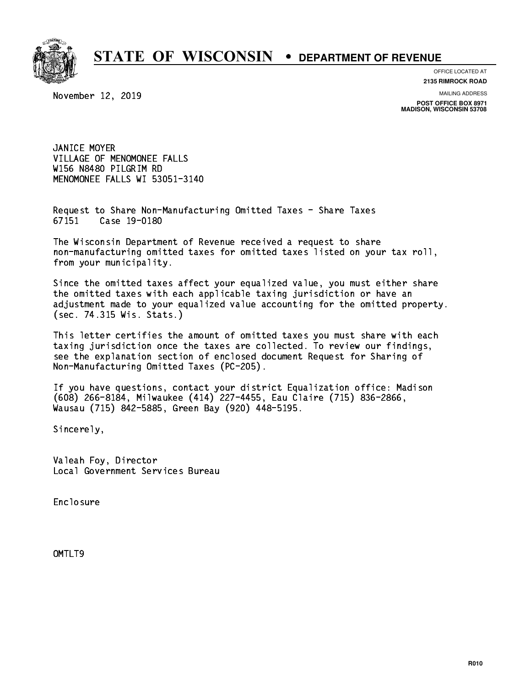

**OFFICE LOCATED AT**

**2135 RIMROCK ROAD**

November 12, 2019

**MAILING ADDRESS**

**POST OFFICE BOX 8971 MADISON, WISCONSIN 53708**

 JANICE MOYER VILLAGE OF MENOMONEE FALLS W156 N8480 PILGRIM RD MENOMONEE FALLS WI 53051-3140

 Request to Share Non-Manufacturing Omitted Taxes - Share Taxes 67151 Case 19-0180

 The Wisconsin Department of Revenue received a request to share non-manufacturing omitted taxes for omitted taxes listed on your tax roll, from your municipality.

 Since the omitted taxes affect your equalized value, you must either share the omitted taxes with each applicable taxing jurisdiction or have an adjustment made to your equalized value accounting for the omitted property. (sec. 74.315 Wis. Stats.)

 This letter certifies the amount of omitted taxes you must share with each taxing jurisdiction once the taxes are collected. To review our findings, see the explanation section of enclosed document Request for Sharing of Non-Manufacturing Omitted Taxes (PC-205).

 If you have questions, contact your district Equalization office: Madison (608) 266-8184, Milwaukee (414) 227-4455, Eau Claire (715) 836-2866, Wausau (715) 842-5885, Green Bay (920) 448-5195.

Sincerely,

 Valeah Foy, Director Local Government Services Bureau

Enclosure Enclosure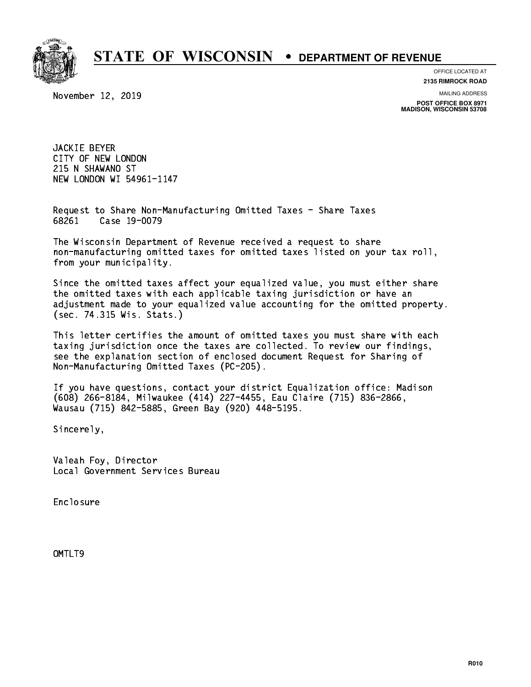

**OFFICE LOCATED AT**

**2135 RIMROCK ROAD**

November 12, 2019

**MAILING ADDRESS**

**POST OFFICE BOX 8971 MADISON, WISCONSIN 53708**

 JACKIE BEYER CITY OF NEW LONDON 215 N SHAWANO ST NEW LONDON WI 54961-1147

 Request to Share Non-Manufacturing Omitted Taxes - Share Taxes 68261 Case 19-0079

 The Wisconsin Department of Revenue received a request to share non-manufacturing omitted taxes for omitted taxes listed on your tax roll, from your municipality.

 Since the omitted taxes affect your equalized value, you must either share the omitted taxes with each applicable taxing jurisdiction or have an adjustment made to your equalized value accounting for the omitted property. (sec. 74.315 Wis. Stats.)

 This letter certifies the amount of omitted taxes you must share with each taxing jurisdiction once the taxes are collected. To review our findings, see the explanation section of enclosed document Request for Sharing of Non-Manufacturing Omitted Taxes (PC-205).

 If you have questions, contact your district Equalization office: Madison (608) 266-8184, Milwaukee (414) 227-4455, Eau Claire (715) 836-2866, Wausau (715) 842-5885, Green Bay (920) 448-5195.

Sincerely,

 Valeah Foy, Director Local Government Services Bureau

Enclosure Enclosure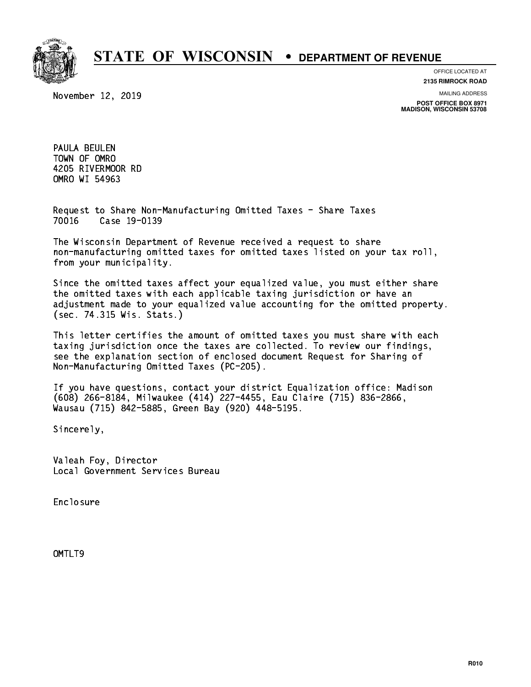

November 12, 2019

**OFFICE LOCATED AT 2135 RIMROCK ROAD**

**MAILING ADDRESS**

**POST OFFICE BOX 8971 MADISON, WISCONSIN 53708**

 PAULA BEULEN TOWN OF OMRO 4205 RIVERMOOR RD OMRO WI 54963 OMRO WI 54963

 Request to Share Non-Manufacturing Omitted Taxes - Share Taxes 70016 Case 19-0139

 The Wisconsin Department of Revenue received a request to share non-manufacturing omitted taxes for omitted taxes listed on your tax roll, from your municipality.

 Since the omitted taxes affect your equalized value, you must either share the omitted taxes with each applicable taxing jurisdiction or have an adjustment made to your equalized value accounting for the omitted property. (sec. 74.315 Wis. Stats.)

 This letter certifies the amount of omitted taxes you must share with each taxing jurisdiction once the taxes are collected. To review our findings, see the explanation section of enclosed document Request for Sharing of Non-Manufacturing Omitted Taxes (PC-205).

 If you have questions, contact your district Equalization office: Madison (608) 266-8184, Milwaukee (414) 227-4455, Eau Claire (715) 836-2866, Wausau (715) 842-5885, Green Bay (920) 448-5195.

Sincerely,

 Valeah Foy, Director Local Government Services Bureau

Enclosure Enclosure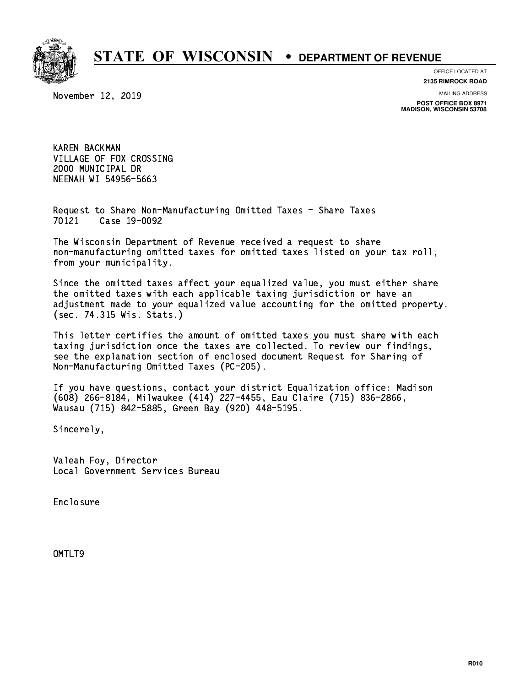

## **OFFICE LOCATED AT**

November 12, 2019

**2135 RIMROCK ROAD**

**MAILING ADDRESS**

**POST OFFICE BOX 8971 MADISON, WISCONSIN 53708**

 KAREN BACKMAN VILLAGE OF FOX CROSSING 2000 MUNICIPAL DR NEENAH WI 54956-5663 neenah wixaa ka mid saad sad

 Request to Share Non-Manufacturing Omitted Taxes - Share Taxes 70121 Case 19-0092

 The Wisconsin Department of Revenue received a request to share non-manufacturing omitted taxes for omitted taxes listed on your tax roll, from your municipality.

 Since the omitted taxes affect your equalized value, you must either share the omitted taxes with each applicable taxing jurisdiction or have an adjustment made to your equalized value accounting for the omitted property. (sec. 74.315 Wis. Stats.)

 This letter certifies the amount of omitted taxes you must share with each taxing jurisdiction once the taxes are collected. To review our findings, see the explanation section of enclosed document Request for Sharing of Non-Manufacturing Omitted Taxes (PC-205).

 If you have questions, contact your district Equalization office: Madison (608) 266-8184, Milwaukee (414) 227-4455, Eau Claire (715) 836-2866, Wausau (715) 842-5885, Green Bay (920) 448-5195.

Sincerely,

 Valeah Foy, Director Local Government Services Bureau

Enclosure Enclosure